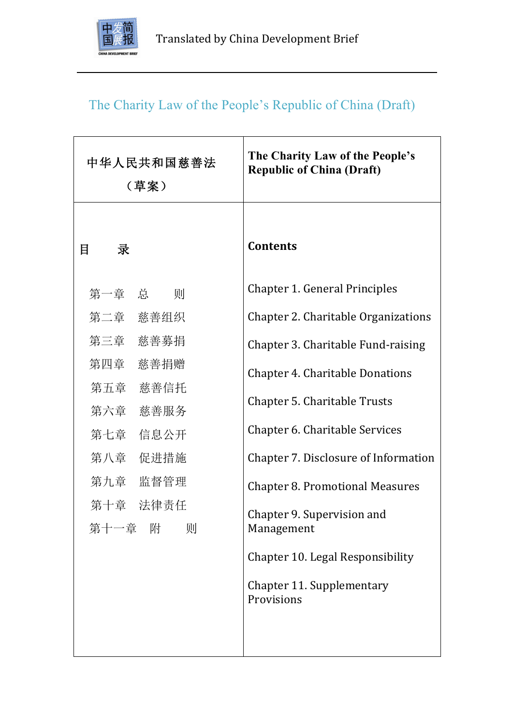

# The Charity Law of the People's Republic of China (Draft)

| 中华人民共和国慈善法<br>(草案)         | The Charity Law of the People's<br><b>Republic of China (Draft)</b> |
|----------------------------|---------------------------------------------------------------------|
| 目<br>录                     | <b>Contents</b>                                                     |
| 第一章 总 则                    | <b>Chapter 1. General Principles</b>                                |
| 第二章 慈善组织                   | Chapter 2. Charitable Organizations                                 |
| 第三章 慈善募捐                   | Chapter 3. Charitable Fund-raising                                  |
| 第四章 慈善捐赠                   | <b>Chapter 4. Charitable Donations</b>                              |
| 第五章 慈善信托                   | <b>Chapter 5. Charitable Trusts</b>                                 |
| 第六章 慈善服务<br>第七章 信息公开       | Chapter 6. Charitable Services                                      |
| 第八章 促进措施                   | Chapter 7. Disclosure of Information                                |
| 第九章 监督管理                   | <b>Chapter 8. Promotional Measures</b>                              |
| 第十章 法律责任<br>第十一章<br>附<br>则 | Chapter 9. Supervision and<br>Management                            |
|                            | Chapter 10. Legal Responsibility                                    |
|                            | Chapter 11. Supplementary<br>Provisions                             |
|                            |                                                                     |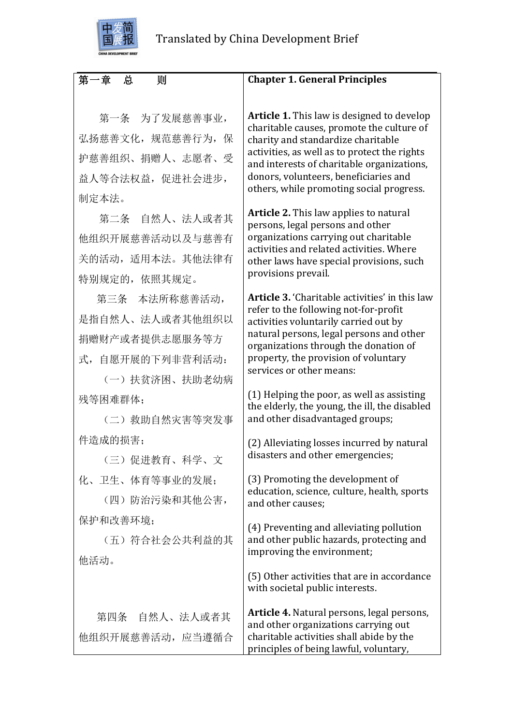

# 第一章 总 则

 第一条 为了发展慈善事业, 弘扬慈善文化,规范慈善行为,保 护慈善组织、捐赠人、志愿者、受 益人等合法权益,促进社会进步, 制定本法。

 第二条 自然人、法人或者其 他组织开展慈善活动以及与慈善有 关的活动,适用本法。其他法律有 特别规定的,依照其规定。

 第三条 本法所称慈善活动, 是指自然人、法人或者其他组织以 捐赠财产或者提供志愿服务等方 式,自愿开展的下列非营利活动:

 (一)扶贫济困、扶助老幼病 残等困难群体;

 (二)救助自然灾害等突发事 件造成的损害;

 (三)促进教育、科学、文 化、卫生、体育等事业的发展;

 (四)防治污染和其他公害, 保护和改善环境;

(五)符合社会公共利益的其 他活动。

 第四条 自然人、法人或者其 他组织开展慈善活动,应当遵循合

## **Chapter 1. General Principles**

**Article 1.** This law is designed to develop charitable causes, promote the culture of charity and standardize charitable activities, as well as to protect the rights and interests of charitable organizations, donors, volunteers, beneficiaries and others, while promoting social progress.

**Article 2.** This law applies to natural persons, legal persons and other organizations carrying out charitable activities and related activities. Where other laws have special provisions, such provisions prevail.

**Article 3.** 'Charitable activities' in this law refer to the following not-for-profit activities voluntarily carried out by natural persons, legal persons and other organizations through the donation of property, the provision of voluntary services or other means:

 $(1)$  Helping the poor, as well as assisting the elderly, the young, the ill, the disabled and other disadvantaged groups;

(2) Alleviating losses incurred by natural disasters and other emergencies;

(3) Promoting the development of education, science, culture, health, sports and other causes;

(4) Preventing and alleviating pollution and other public hazards, protecting and improving the environment;

(5) Other activities that are in accordance with societal public interests.

Article 4. Natural persons, legal persons, and other organizations carrying out charitable activities shall abide by the principles of being lawful, voluntary,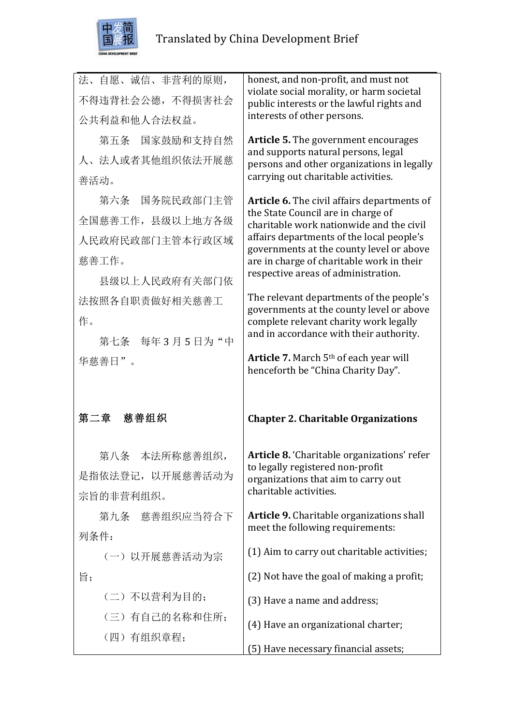

| 法、自愿、诚信、非营利的原则,  | honest, and non-profit, and must not<br>violate social morality, or harm societal        |
|------------------|------------------------------------------------------------------------------------------|
| 不得违背社会公德, 不得损害社会 | public interests or the lawful rights and                                                |
| 公共利益和他人合法权益。     | interests of other persons.                                                              |
| 第五条 国家鼓励和支持自然    | <b>Article 5.</b> The government encourages                                              |
| 人、法人或者其他组织依法开展慈  | and supports natural persons, legal<br>persons and other organizations in legally        |
| 善活动。             | carrying out charitable activities.                                                      |
| 第六条 国务院民政部门主管    | Article 6. The civil affairs departments of                                              |
| 全国慈善工作, 县级以上地方各级 | the State Council are in charge of<br>charitable work nationwide and the civil           |
| 人民政府民政部门主管本行政区域  | affairs departments of the local people's<br>governments at the county level or above    |
| 慈善工作。            | are in charge of charitable work in their                                                |
| 县级以上人民政府有关部门依    | respective areas of administration.                                                      |
| 法按照各自职责做好相关慈善工   | The relevant departments of the people's                                                 |
| 作。               | governments at the county level or above<br>complete relevant charity work legally       |
| 第七条 每年3月5日为"中    | and in accordance with their authority.                                                  |
| 华慈善日"。           | Article 7. March 5 <sup>th</sup> of each year will<br>henceforth be "China Charity Day". |
| 第二章 慈善组织         | <b>Chapter 2. Charitable Organizations</b>                                               |
|                  |                                                                                          |
| 第八条 本法所称慈善组织,    | Article 8. 'Charitable organizations' refer                                              |
| 是指依法登记, 以开展慈善活动为 | to legally registered non-profit<br>organizations that aim to carry out                  |
| 宗旨的非营利组织。        | charitable activities.                                                                   |
| 第九条 慈善组织应当符合下    | Article 9. Charitable organizations shall                                                |
| 列条件:             | meet the following requirements:                                                         |
|                  |                                                                                          |
| (一) 以开展慈善活动为宗    | (1) Aim to carry out charitable activities;                                              |
| 旨;               | (2) Not have the goal of making a profit;                                                |
| (二)不以营利为目的;      | (3) Have a name and address;                                                             |
| (三)有自己的名称和住所;    |                                                                                          |
| (四) 有组织章程;       | (4) Have an organizational charter;<br>(5) Have necessary financial assets;              |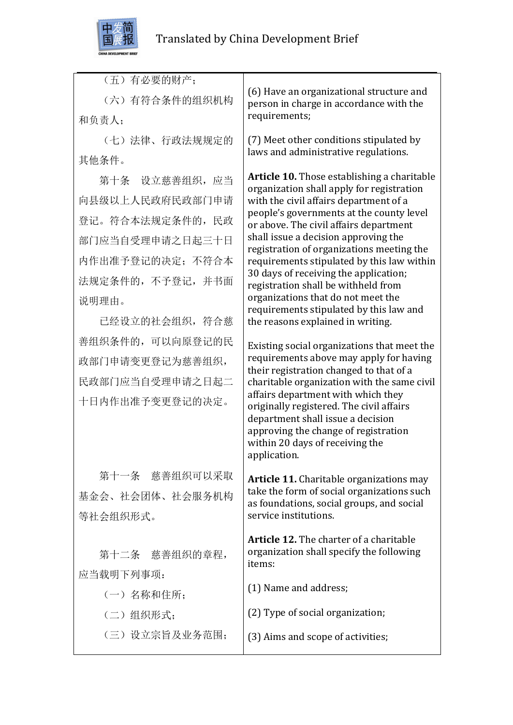

| (五)有必要的财产;<br>(六) 有符合条件的组织机构 |                                                                                                                                                                          |
|------------------------------|--------------------------------------------------------------------------------------------------------------------------------------------------------------------------|
|                              |                                                                                                                                                                          |
|                              | (6) Have an organizational structure and<br>person in charge in accordance with the                                                                                      |
| 和负责人;                        | requirements;                                                                                                                                                            |
| (七)法律、行政法规规定的                | (7) Meet other conditions stipulated by<br>laws and administrative regulations.                                                                                          |
| 其他条件。                        |                                                                                                                                                                          |
| 第十条 设立慈善组织, 应当               | <b>Article 10.</b> Those establishing a charitable<br>organization shall apply for registration                                                                          |
| 向县级以上人民政府民政部门申请              | with the civil affairs department of a                                                                                                                                   |
| 登记。符合本法规定条件的,民政              | people's governments at the county level<br>or above. The civil affairs department                                                                                       |
| 部门应当自受理申请之日起三十日              | shall issue a decision approving the<br>registration of organizations meeting the                                                                                        |
| 内作出准予登记的决定; 不符合本             | requirements stipulated by this law within                                                                                                                               |
| 法规定条件的, 不予登记, 并书面            | 30 days of receiving the application;<br>registration shall be withheld from                                                                                             |
| 说明理由。                        | organizations that do not meet the<br>requirements stipulated by this law and                                                                                            |
| 已经设立的社会组织, 符合慈               | the reasons explained in writing.                                                                                                                                        |
| 善组织条件的,可以向原登记的民              | Existing social organizations that meet the                                                                                                                              |
| 政部门申请变更登记为慈善组织,              | requirements above may apply for having                                                                                                                                  |
| 民政部门应当自受理申请之日起二              | their registration changed to that of a<br>charitable organization with the same civil<br>affairs department with which they<br>originally registered. The civil affairs |
| 十日内作出准予变更登记的决定。              |                                                                                                                                                                          |
|                              | department shall issue a decision<br>approving the change of registration                                                                                                |
|                              | within 20 days of receiving the                                                                                                                                          |
|                              | application.                                                                                                                                                             |
| 第十一条 慈善组织可以采取                | <b>Article 11.</b> Charitable organizations may<br>take the form of social organizations such                                                                            |
| 基金会、社会团体、社会服务机构              | as foundations, social groups, and social                                                                                                                                |
| 等社会组织形式。                     | service institutions.                                                                                                                                                    |
|                              | <b>Article 12.</b> The charter of a charitable                                                                                                                           |
| 第十二条 慈善组织的章程,                | organization shall specify the following<br>items:                                                                                                                       |
| 应当载明下列事项:                    | (1) Name and address;                                                                                                                                                    |
| (一) 名称和住所;                   |                                                                                                                                                                          |
| (二)组织形式;                     | (2) Type of social organization;                                                                                                                                         |
| (三) 设立宗旨及业务范围;               | (3) Aims and scope of activities;                                                                                                                                        |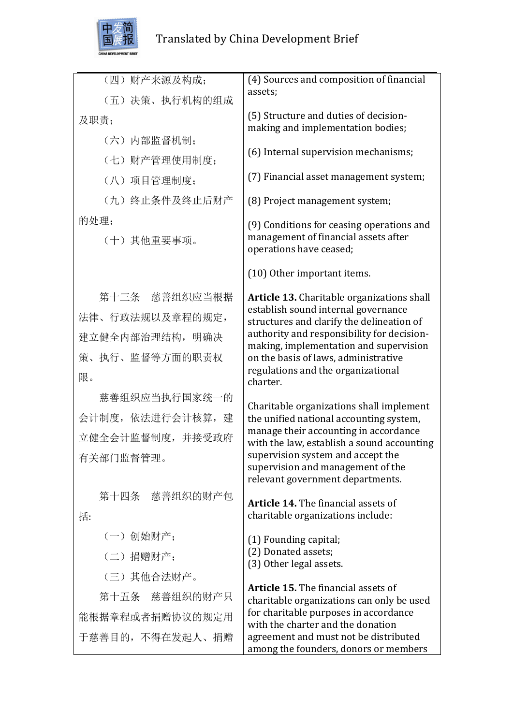

| (四)财产来源及构成;       | (4) Sources and composition of financial                                                                   |
|-------------------|------------------------------------------------------------------------------------------------------------|
| (五)决策、执行机构的组成     | assets;                                                                                                    |
| 及职责;              | (5) Structure and duties of decision-<br>making and implementation bodies;                                 |
| (六)内部监督机制;        |                                                                                                            |
| (七)财产管理使用制度;      | (6) Internal supervision mechanisms;                                                                       |
| (八)项目管理制度;        | (7) Financial asset management system;                                                                     |
| (九) 终止条件及终止后财产    | (8) Project management system;                                                                             |
| 的处理;              | (9) Conditions for ceasing operations and                                                                  |
| (十)其他重要事项。        | management of financial assets after<br>operations have ceased;                                            |
|                   | (10) Other important items.                                                                                |
| 第十三条 慈善组织应当根据     | <b>Article 13.</b> Charitable organizations shall                                                          |
| 法律、行政法规以及章程的规定,   | establish sound internal governance<br>structures and clarify the delineation of                           |
| 建立健全内部治理结构, 明确决   | authority and responsibility for decision-                                                                 |
| 策、执行、监督等方面的职责权    | making, implementation and supervision<br>on the basis of laws, administrative                             |
| 限。                | regulations and the organizational<br>charter.                                                             |
| 慈善组织应当执行国家统一的     | Charitable organizations shall implement                                                                   |
| 会计制度, 依法进行会计核算, 建 | the unified national accounting system,                                                                    |
| 立健全会计监督制度,并接受政府   | manage their accounting in accordance<br>with the law, establish a sound accounting                        |
| 有关部门监督管理。         | supervision system and accept the<br>supervision and management of the<br>relevant government departments. |
| 第十四条 慈善组织的财产包     | <b>Article 14.</b> The financial assets of                                                                 |
| 括:                | charitable organizations include:                                                                          |
| (一)创始财产;          | (1) Founding capital;                                                                                      |
| (二) 捐赠财产;         | (2) Donated assets;<br>(3) Other legal assets.                                                             |
| (三)其他合法财产。        |                                                                                                            |
| 第十五条 慈善组织的财产只     | <b>Article 15.</b> The financial assets of<br>charitable organizations can only be used                    |
| 能根据章程或者捐赠协议的规定用   | for charitable purposes in accordance<br>with the charter and the donation                                 |
| 于慈善目的, 不得在发起人、捐赠  | agreement and must not be distributed<br>among the founders, donors or members                             |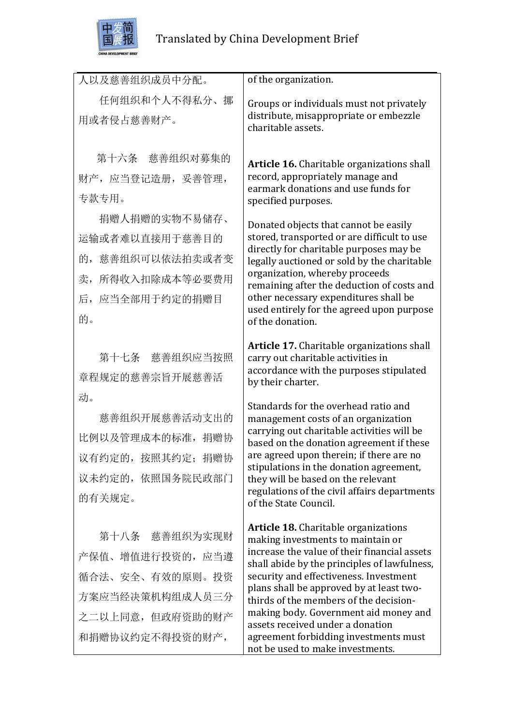

| 人以及慈善组织成员中分配。                                                                                                 | of the organization.                                                                                                                                                                                                                                                                                                                                                                                                                   |
|---------------------------------------------------------------------------------------------------------------|----------------------------------------------------------------------------------------------------------------------------------------------------------------------------------------------------------------------------------------------------------------------------------------------------------------------------------------------------------------------------------------------------------------------------------------|
| 任何组织和个人不得私分、挪<br>用或者侵占慈善财产。                                                                                   | Groups or individuals must not privately<br>distribute, misappropriate or embezzle<br>charitable assets.                                                                                                                                                                                                                                                                                                                               |
| 第十六条 慈善组织对募集的<br>财产, 应当登记造册, 妥善管理,<br>专款专用。<br>捐赠人捐赠的实物不易储存、                                                  | Article 16. Charitable organizations shall<br>record, appropriately manage and<br>earmark donations and use funds for<br>specified purposes.<br>Donated objects that cannot be easily                                                                                                                                                                                                                                                  |
| 运输或者难以直接用于慈善目的<br>慈善组织可以依法拍卖或者变<br>的,<br>卖, 所得收入扣除成本等必要费用<br>后, 应当全部用于约定的捐赠目<br>的。                            | stored, transported or are difficult to use<br>directly for charitable purposes may be<br>legally auctioned or sold by the charitable<br>organization, whereby proceeds<br>remaining after the deduction of costs and<br>other necessary expenditures shall be<br>used entirely for the agreed upon purpose<br>of the donation.                                                                                                        |
| 第十七条 慈善组织应当按照<br>章程规定的慈善宗旨开展慈善活                                                                               | Article 17. Charitable organizations shall<br>carry out charitable activities in<br>accordance with the purposes stipulated<br>by their charter.                                                                                                                                                                                                                                                                                       |
| 动。<br>慈善组织开展慈善活动支出的<br>比例以及管理成本的标准, 捐赠协<br>议有约定的, 按照其约定; 捐赠协<br>议未约定的, 依照国务院民政部门<br>的有关规定。                    | Standards for the overhead ratio and<br>management costs of an organization<br>carrying out charitable activities will be<br>based on the donation agreement if these<br>are agreed upon therein; if there are no<br>stipulations in the donation agreement,<br>they will be based on the relevant<br>regulations of the civil affairs departments<br>of the State Council.                                                            |
| 第十八条 慈善组织为实现财<br>产保值、增值进行投资的, 应当遵<br>循合法、安全、有效的原则。投资<br>方案应当经决策机构组成人员三分<br>之二以上同意,但政府资助的财产<br>和捐赠协议约定不得投资的财产, | <b>Article 18.</b> Charitable organizations<br>making investments to maintain or<br>increase the value of their financial assets<br>shall abide by the principles of lawfulness,<br>security and effectiveness. Investment<br>plans shall be approved by at least two-<br>thirds of the members of the decision-<br>making body. Government aid money and<br>assets received under a donation<br>agreement forbidding investments must |

not be used to make investments.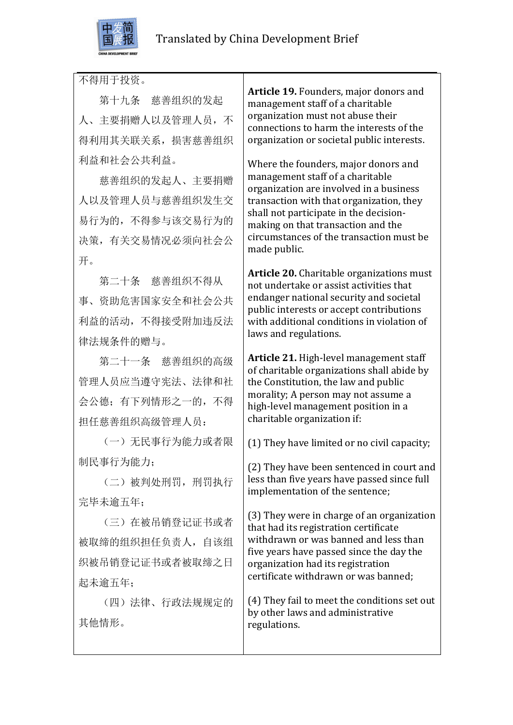

不得用于投资。

 第十九条 慈善组织的发起 人、主要捐赠人以及管理人员,不 得利用其关联关系,损害慈善组织 利益和社会公共利益。

慈善组织的发起人、主要捐赠 人以及管理人员与慈善组织发生交 易行为的,不得参与该交易行为的 决策,有关交易情况必须向社会公 开。

第二十条 慈善组织不得从 事、资助危害国家安全和社会公共 利益的活动,不得接受附加违反法 律法规条件的赠与。

 第二十一条 慈善组织的高级 管理人员应当遵守宪法、法律和社 会公德;有下列情形之一的,不得 担任慈善组织高级管理人员:

 (一)无民事行为能力或者限 制民事行为能力;

 (二)被判处刑罚,刑罚执行 完毕未逾五年;

 (三)在被吊销登记证书或者 被取缔的组织担任负责人,自该组 织被吊销登记证书或者被取缔之日 起未逾五年;

(四)法律、行政法规规定的 其他情形。

**Article 19.** Founders, major donors and management staff of a charitable organization must not abuse their connections to harm the interests of the organization or societal public interests.

Where the founders, major donors and management staff of a charitable organization are involved in a business transaction with that organization, they shall not participate in the decisionmaking on that transaction and the circumstances of the transaction must be made public.

Article 20. Charitable organizations must not undertake or assist activities that endanger national security and societal public interests or accept contributions with additional conditions in violation of laws and regulations.

**Article 21.** High-level management staff of charitable organizations shall abide by the Constitution, the law and public morality: A person may not assume a high-level management position in a charitable organization if:

(1) They have limited or no civil capacity;

(2) They have been sentenced in court and less than five years have passed since full implementation of the sentence;

(3) They were in charge of an organization that had its registration certificate withdrawn or was banned and less than five years have passed since the day the organization had its registration certificate withdrawn or was banned;

(4) They fail to meet the conditions set out by other laws and administrative regulations.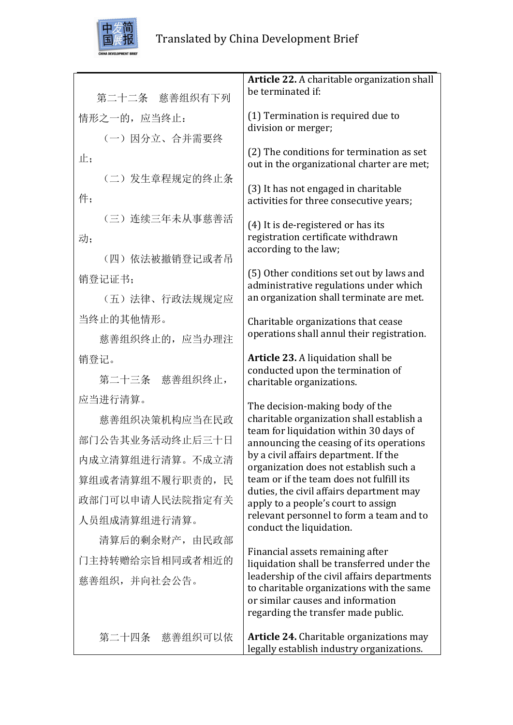

|                  | Article 22. A charitable organization shall                                                  |
|------------------|----------------------------------------------------------------------------------------------|
| 第二十二条 慈善组织有下列    | be terminated if:                                                                            |
|                  | (1) Termination is required due to                                                           |
| 情形之一的, 应当终止:     | division or merger;                                                                          |
| (一) 因分立、合并需要终    |                                                                                              |
| 止;               | (2) The conditions for termination as set<br>out in the organizational charter are met;      |
| (二) 发生章程规定的终止条   |                                                                                              |
| 件;               | (3) It has not engaged in charitable<br>activities for three consecutive years;              |
| (三) 连续三年未从事慈善活   |                                                                                              |
| 动;               | (4) It is de-registered or has its<br>registration certificate withdrawn                     |
| (四) 依法被撤销登记或者吊   | according to the law;                                                                        |
|                  | (5) Other conditions set out by laws and                                                     |
| 销登记证书;           | administrative regulations under which                                                       |
| (五)法律、行政法规规定应    | an organization shall terminate are met.                                                     |
| 当终止的其他情形。        | Charitable organizations that cease                                                          |
| 慈善组织终止的, 应当办理注   | operations shall annul their registration.                                                   |
| 销登记。             | Article 23. A liquidation shall be<br>conducted upon the termination of                      |
| 第二十三条 慈善组织终止,    | charitable organizations.                                                                    |
| 应当进行清算。          | The decision-making body of the                                                              |
| 慈善组织决策机构应当在民政    | charitable organization shall establish a                                                    |
| 部门公告其业务活动终止后三十日  | team for liquidation within 30 days of<br>announcing the ceasing of its operations           |
| 内成立清算组进行清算。不成立清  | by a civil affairs department. If the<br>organization does not establish such a              |
| 算组或者清算组不履行职责的, 民 | team or if the team does not fulfill its                                                     |
| 政部门可以申请人民法院指定有关  | duties, the civil affairs department may<br>apply to a people's court to assign              |
| 人员组成清算组进行清算。     | relevant personnel to form a team and to<br>conduct the liquidation.                         |
| 清算后的剩余财产, 由民政部   |                                                                                              |
| 门主持转赠给宗旨相同或者相近的  | Financial assets remaining after<br>liquidation shall be transferred under the               |
| 慈善组织,并向社会公告。     | leadership of the civil affairs departments<br>to charitable organizations with the same     |
|                  | or similar causes and information                                                            |
|                  | regarding the transfer made public.                                                          |
| 第二十四条<br>慈善组织可以依 | <b>Article 24.</b> Charitable organizations may<br>legally establish industry organizations. |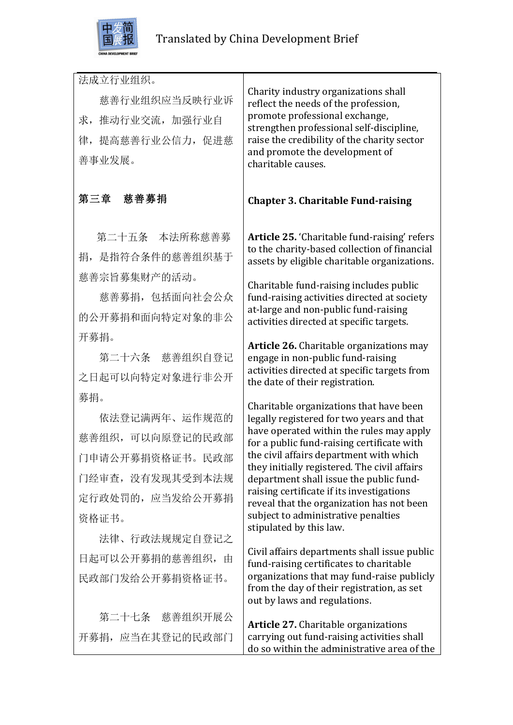

| 法成立行业组织。<br>慈善行业组织应当反映行业诉<br>推动行业交流, 加强行业自<br>求,<br>律, 提高慈善行业公信力, 促进慈<br>善事业发展。<br>慈善募捐                     | Charity industry organizations shall<br>reflect the needs of the profession,<br>promote professional exchange,<br>strengthen professional self-discipline,<br>raise the credibility of the charity sector<br>and promote the development of<br>charitable causes.                                                                                                                                                                                                                |
|-------------------------------------------------------------------------------------------------------------|----------------------------------------------------------------------------------------------------------------------------------------------------------------------------------------------------------------------------------------------------------------------------------------------------------------------------------------------------------------------------------------------------------------------------------------------------------------------------------|
| 第三章                                                                                                         | <b>Chapter 3. Charitable Fund-raising</b>                                                                                                                                                                                                                                                                                                                                                                                                                                        |
| 第二十五条 本法所称慈善募<br>捐, 是指符合条件的慈善组织基于                                                                           | Article 25. 'Charitable fund-raising' refers<br>to the charity-based collection of financial<br>assets by eligible charitable organizations.                                                                                                                                                                                                                                                                                                                                     |
| 慈善宗旨募集财产的活动。<br>慈善募捐, 包括面向社会公众<br>的公开募捐和面向特定对象的非公                                                           | Charitable fund-raising includes public<br>fund-raising activities directed at society<br>at-large and non-public fund-raising<br>activities directed at specific targets.                                                                                                                                                                                                                                                                                                       |
| 开募捐。<br>第二十六条 慈善组织自登记<br>之日起可以向特定对象进行非公开                                                                    | Article 26. Charitable organizations may<br>engage in non-public fund-raising<br>activities directed at specific targets from<br>the date of their registration.                                                                                                                                                                                                                                                                                                                 |
| 募捐。<br>依法登记满两年、运作规范的<br>慈善组织, 可以向原登记的民政部<br>门申请公开募捐资格证书。民政部<br>门经审查,没有发现其受到本法规<br>定行政处罚的, 应当发给公开募捐<br>资格证书。 | Charitable organizations that have been<br>legally registered for two years and that<br>have operated within the rules may apply<br>for a public fund-raising certificate with<br>the civil affairs department with which<br>they initially registered. The civil affairs<br>department shall issue the public fund-<br>raising certificate if its investigations<br>reveal that the organization has not been<br>subject to administrative penalties<br>stipulated by this law. |
| 法律、行政法规规定自登记之<br>日起可以公开募捐的慈善组织,由<br>民政部门发给公开募捐资格证书。                                                         | Civil affairs departments shall issue public<br>fund-raising certificates to charitable<br>organizations that may fund-raise publicly<br>from the day of their registration, as set<br>out by laws and regulations.                                                                                                                                                                                                                                                              |
| 第二十七条 慈善组织开展公<br>开募捐, 应当在其登记的民政部门                                                                           | <b>Article 27.</b> Charitable organizations<br>carrying out fund-raising activities shall<br>do so within the administrative area of the                                                                                                                                                                                                                                                                                                                                         |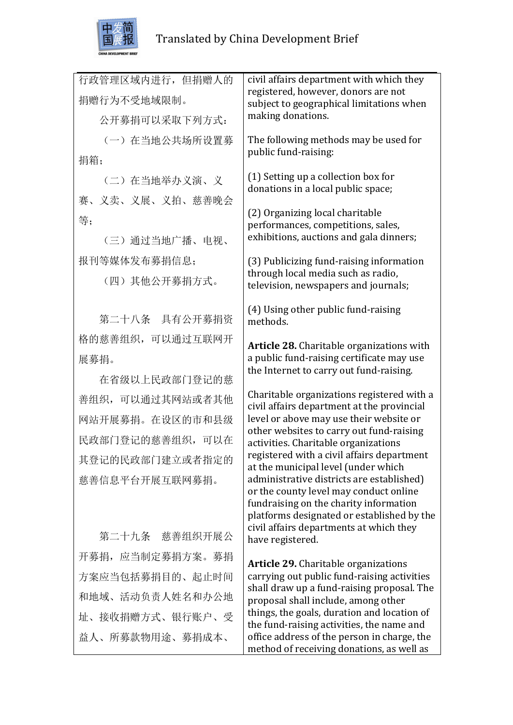

| 行政管理区域内进行,但捐赠人的  | civil affairs department with which they<br>registered, however, donors are not          |
|------------------|------------------------------------------------------------------------------------------|
| 捐赠行为不受地域限制。      | subject to geographical limitations when                                                 |
| 公开募捐可以采取下列方式:    | making donations.                                                                        |
| (一) 在当地公共场所设置募   | The following methods may be used for                                                    |
| 捐箱;              | public fund-raising:                                                                     |
| (二) 在当地举办义演、义    | (1) Setting up a collection box for<br>donations in a local public space;                |
| 赛、义卖、义展、义拍、慈善晚会  |                                                                                          |
| 等;               | (2) Organizing local charitable<br>performances, competitions, sales,                    |
| (三) 通过当地广播、电视、   | exhibitions, auctions and gala dinners;                                                  |
| 报刊等媒体发布募捐信息;     | (3) Publicizing fund-raising information                                                 |
| (四)其他公开募捐方式。     | through local media such as radio,<br>television, newspapers and journals;               |
| 第二十八条 具有公开募捐资    | (4) Using other public fund-raising<br>methods.                                          |
| 格的慈善组织, 可以通过互联网开 |                                                                                          |
| 展募捐。             | Article 28. Charitable organizations with<br>a public fund-raising certificate may use   |
| 在省级以上民政部门登记的慈    | the Internet to carry out fund-raising.                                                  |
| 善组织, 可以通过其网站或者其他 | Charitable organizations registered with a                                               |
| 网站开展募捐。在设区的市和县级  | civil affairs department at the provincial<br>level or above may use their website or    |
| 民政部门登记的慈善组织, 可以在 | other websites to carry out fund-raising<br>activities. Charitable organizations         |
| 其登记的民政部门建立或者指定的  | registered with a civil affairs department                                               |
| 慈善信息平台开展互联网募捐。   | at the municipal level (under which<br>administrative districts are established)         |
|                  | or the county level may conduct online<br>fundraising on the charity information         |
|                  | platforms designated or established by the                                               |
| 第二十九条 慈善组织开展公    | civil affairs departments at which they<br>have registered.                              |
| 开募捐, 应当制定募捐方案。募捐 | <b>Article 29.</b> Charitable organizations                                              |
| 方案应当包括募捐目的、起止时间  | carrying out public fund-raising activities                                              |
| 和地域、活动负责人姓名和办公地  | shall draw up a fund-raising proposal. The<br>proposal shall include, among other        |
| 址、接收捐赠方式、银行账户、受  | things, the goals, duration and location of<br>the fund-raising activities, the name and |
| 益人、所募款物用途、募捐成本、  | office address of the person in charge, the<br>method of receiving donations, as well as |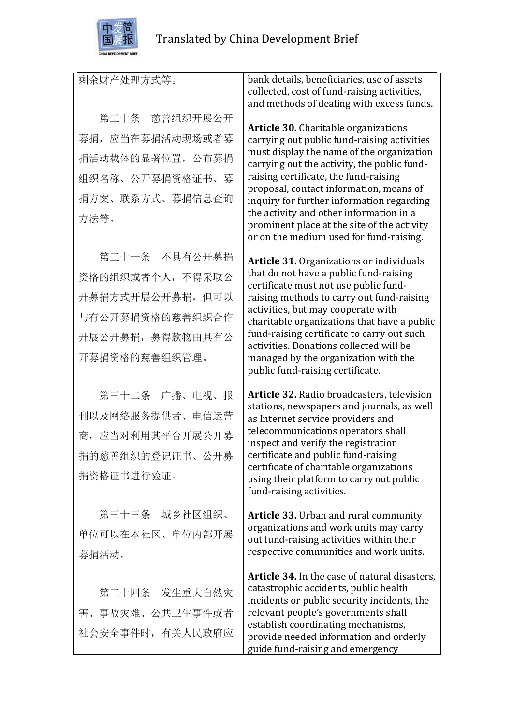

| 剩余财产处理方式等。       | bank details, beneficiaries, use of assets<br>collected, cost of fund-raising activities,<br>and methods of dealing with excess funds. |
|------------------|----------------------------------------------------------------------------------------------------------------------------------------|
| 第三十条 慈善组织开展公开    |                                                                                                                                        |
| 募捐, 应当在募捐活动现场或者募 | <b>Article 30.</b> Charitable organizations<br>carrying out public fund-raising activities                                             |
| 捐活动载体的显著位置, 公布募捐 | must display the name of the organization<br>carrying out the activity, the public fund-                                               |
| 组织名称、公开募捐资格证书、募  | raising certificate, the fund-raising<br>proposal, contact information, means of                                                       |
| 捐方案、联系方式、募捐信息查询  | inquiry for further information regarding                                                                                              |
| 方法等。             | the activity and other information in a<br>prominent place at the site of the activity<br>or on the medium used for fund-raising.      |
| 第三十一条 不具有公开募捐    | <b>Article 31.</b> Organizations or individuals                                                                                        |
| 资格的组织或者个人, 不得采取公 | that do not have a public fund-raising                                                                                                 |
| 开募捐方式开展公开募捐, 但可以 | certificate must not use public fund-<br>raising methods to carry out fund-raising                                                     |
| 与有公开募捐资格的慈善组织合作  | activities, but may cooperate with<br>charitable organizations that have a public                                                      |
| 开展公开募捐, 募得款物由具有公 | fund-raising certificate to carry out such<br>activities. Donations collected will be                                                  |
| 开募捐资格的慈善组织管理。    | managed by the organization with the<br>public fund-raising certificate.                                                               |
| 第三十二条 广播、电视、报    | Article 32. Radio broadcasters, television                                                                                             |
| 刊以及网络服务提供者、电信运营  | stations, newspapers and journals, as well<br>as Internet service providers and                                                        |
| 商, 应当对利用其平台开展公开募 | telecommunications operators shall<br>inspect and verify the registration                                                              |
| 捐的慈善组织的登记证书、公开募  | certificate and public fund-raising                                                                                                    |
| 捐资格证书进行验证。       | certificate of charitable organizations<br>using their platform to carry out public<br>fund-raising activities.                        |
| 第三十三条 城乡社区组织、    | <b>Article 33.</b> Urban and rural community                                                                                           |
| 单位可以在本社区、单位内部开展  | organizations and work units may carry<br>out fund-raising activities within their                                                     |
| 募捐活动。            | respective communities and work units.                                                                                                 |
|                  | Article 34. In the case of natural disasters,                                                                                          |
| 第三十四条 发生重大自然灾    | catastrophic accidents, public health<br>incidents or public security incidents, the                                                   |
| 害、事故灾难、公共卫生事件或者  | relevant people's governments shall                                                                                                    |
| 社会安全事件时, 有关人民政府应 | establish coordinating mechanisms,<br>provide needed information and orderly<br>guide fund-raising and emergency                       |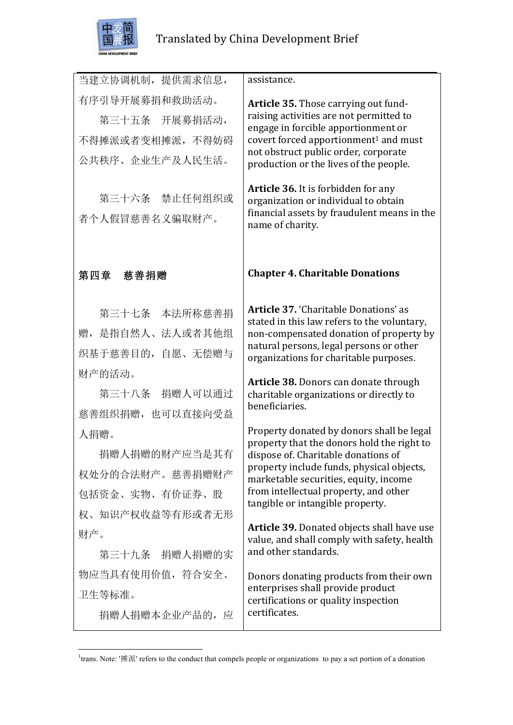

| 当建立协调机制, 提供需求信息,                                                                                          | assistance.                                                                                                                                                                                                                                                                                                                                                                                                     |
|-----------------------------------------------------------------------------------------------------------|-----------------------------------------------------------------------------------------------------------------------------------------------------------------------------------------------------------------------------------------------------------------------------------------------------------------------------------------------------------------------------------------------------------------|
| 有序引导开展募捐和救助活动。<br>第三十五条 开展募捐活动,<br>不得摊派或者变相摊派, 不得妨碍<br>公共秩序、企业生产及人民生活。<br>第三十六条 禁止任何组织或<br>者个人假冒慈善名义骗取财产。 | Article 35. Those carrying out fund-<br>raising activities are not permitted to<br>engage in forcible apportionment or<br>covert forced apportionment <sup>1</sup> and must<br>not obstruct public order, corporate<br>production or the lives of the people.<br>Article 36. It is forbidden for any<br>organization or individual to obtain<br>financial assets by fraudulent means in the<br>name of charity. |
| 第四章 慈善捐赠                                                                                                  | <b>Chapter 4. Charitable Donations</b>                                                                                                                                                                                                                                                                                                                                                                          |
| 第三十七条 本法所称慈善捐<br>赠, 是指自然人、法人或者其他组<br>织基于慈善目的, 自愿、无偿赠与<br>财产的活动。                                           | Article 37. 'Charitable Donations' as<br>stated in this law refers to the voluntary,<br>non-compensated donation of property by<br>natural persons, legal persons or other<br>organizations for charitable purposes.<br>Article 38. Donors can donate through                                                                                                                                                   |
| 第三十八条 捐赠人可以通过<br>慈善组织捐赠, 也可以直接向受益                                                                         | charitable organizations or directly to<br>beneficiaries.                                                                                                                                                                                                                                                                                                                                                       |
| 人捐赠。<br>捐赠人捐赠的财产应当是其有<br>权处分的合法财产。慈善捐赠财产<br>包括资金、实物、有价证券、股<br>权、知识产权收益等有形或者无形                             | Property donated by donors shall be legal<br>property that the donors hold the right to<br>dispose of. Charitable donations of<br>property include funds, physical objects,<br>marketable securities, equity, income<br>from intellectual property, and other<br>tangible or intangible property.                                                                                                               |
| 财产。<br>第三十九条 捐赠人捐赠的实                                                                                      | <b>Article 39.</b> Donated objects shall have use<br>value, and shall comply with safety, health<br>and other standards.                                                                                                                                                                                                                                                                                        |
| 物应当具有使用价值,符合安全、<br>卫生等标准。<br>捐赠人捐赠本企业产品的, 应                                                               | Donors donating products from their own<br>enterprises shall provide product<br>certifications or quality inspection<br>certificates.                                                                                                                                                                                                                                                                           |

 1 trans. Note: '摊派' refers to the conduct that compels people or organizations to pay a set portion of a donation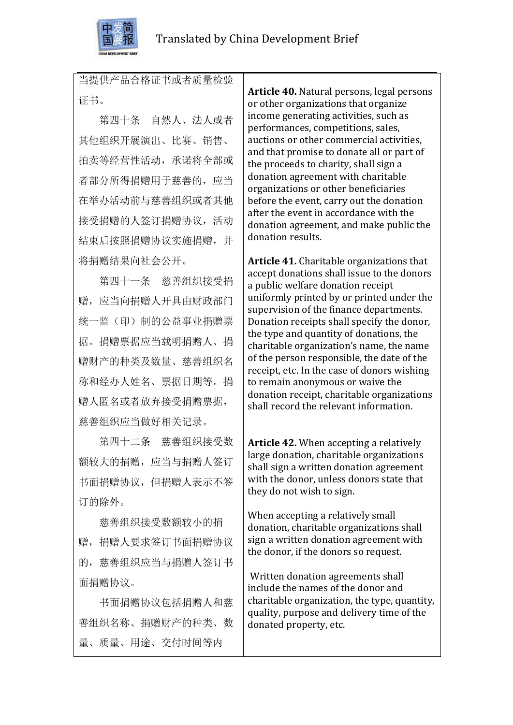

当提供产品合格证书或者质量检验 证书。

第四十条 自然人、法人或者 其他组织开展演出、比赛、销售、 拍卖等经营性活动,承诺将全部或 者部分所得捐赠用于慈善的,应当 在举办活动前与慈善组织或者其他 接受捐赠的人签订捐赠协议,活动 结束后按照捐赠协议实施捐赠,并 将捐赠结果向社会公开。

 第四十一条 慈善组织接受捐 赠,应当向捐赠人开具由财政部门 统一监(印)制的公益事业捐赠票 据。捐赠票据应当载明捐赠人、捐 赠财产的种类及数量、慈善组织名 称和经办人姓名、票据日期等。捐 赠人匿名或者放弃接受捐赠票据, 慈善组织应当做好相关记录。

 第四十二条 慈善组织接受数 额较大的捐赠,应当与捐赠人签订 书面捐赠协议,但捐赠人表示不签 订的除外。

 慈善组织接受数额较小的捐 赠,捐赠人要求签订书面捐赠协议 的,慈善组织应当与捐赠人签订书 面捐赠协议。

 书面捐赠协议包括捐赠人和慈 善组织名称、捐赠财产的种类、数 量、质量、用途、交付时间等内

**Article 40.** Natural persons, legal persons or other organizations that organize income generating activities, such as performances, competitions, sales, auctions or other commercial activities. and that promise to donate all or part of the proceeds to charity, shall sign a donation agreement with charitable organizations or other beneficiaries before the event, carry out the donation after the event in accordance with the donation agreement, and make public the donation results.

Article 41. Charitable organizations that accept donations shall issue to the donors a public welfare donation receipt uniformly printed by or printed under the supervision of the finance departments. Donation receipts shall specify the donor, the type and quantity of donations, the charitable organization's name, the name of the person responsible, the date of the receipt, etc. In the case of donors wishing to remain anonymous or waive the donation receipt, charitable organizations shall record the relevant information.

**Article 42.** When accepting a relatively large donation, charitable organizations shall sign a written donation agreement with the donor, unless donors state that they do not wish to sign.

When accepting a relatively small donation, charitable organizations shall sign a written donation agreement with the donor, if the donors so request.

Written donation agreements shall include the names of the donor and charitable organization, the type, quantity, quality, purpose and delivery time of the donated property, etc.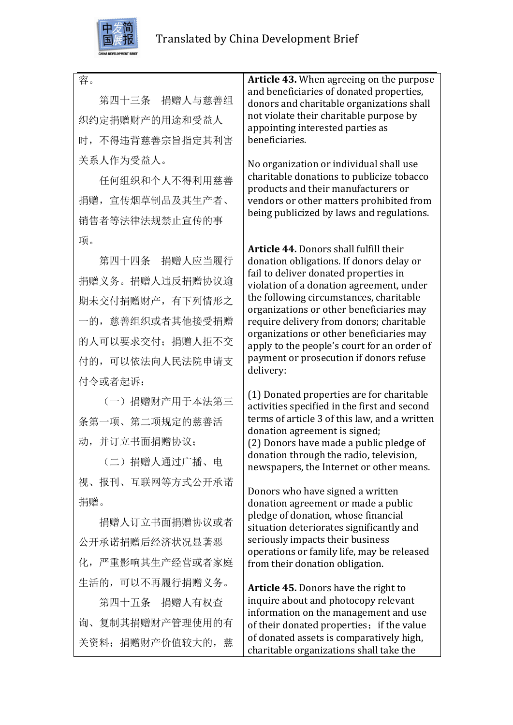

容。

 第四十三条 捐赠人与慈善组 织约定捐赠财产的用途和受益人 时,不得违背慈善宗旨指定其利害 关系人作为受益人。

任何组织和个人不得利用慈善 捐赠,宣传烟草制品及其生产者、 销售者等法律法规禁止宣传的事 项。

 第四十四条 捐赠人应当履行 捐赠义务。捐赠人违反捐赠协议逾 期未交付捐赠财产,有下列情形之 一的,慈善组织或者其他接受捐赠 的人可以要求交付;捐赠人拒不交 付的,可以依法向人民法院申请支 付令或者起诉:

 (一)捐赠财产用于本法第三 条第一项、第二项规定的慈善活 动,并订立书面捐赠协议;

 (二)捐赠人通过广播、电 视、报刊、互联网等方式公开承诺 捐赠。

 捐赠人订立书面捐赠协议或者 公开承诺捐赠后经济状况显著恶 化,严重影响其生产经营或者家庭 生活的,可以不再履行捐赠义务。

 第四十五条 捐赠人有权查 询、复制其捐赠财产管理使用的有 关资料;捐赠财产价值较大的,慈 **Article 43.** When agreeing on the purpose and beneficiaries of donated properties, donors and charitable organizations shall not violate their charitable purpose by appointing interested parties as beneficiaries.

No organization or individual shall use charitable donations to publicize tobacco products and their manufacturers or vendors or other matters prohibited from being publicized by laws and regulations.

Article 44. Donors shall fulfill their donation obligations. If donors delay or fail to deliver donated properties in violation of a donation agreement, under the following circumstances, charitable organizations or other beneficiaries may require delivery from donors; charitable organizations or other beneficiaries may apply to the people's court for an order of payment or prosecution if donors refuse delivery:

(1) Donated properties are for charitable activities specified in the first and second terms of article 3 of this law, and a written donation agreement is signed; (2) Donors have made a public pledge of donation through the radio, television, newspapers, the Internet or other means.

Donors who have signed a written donation agreement or made a public pledge of donation, whose financial situation deteriorates significantly and seriously impacts their business operations or family life, may be released from their donation obligation.

**Article 45.** Donors have the right to inquire about and photocopy relevant information on the management and use of their donated properties; if the value of donated assets is comparatively high. charitable organizations shall take the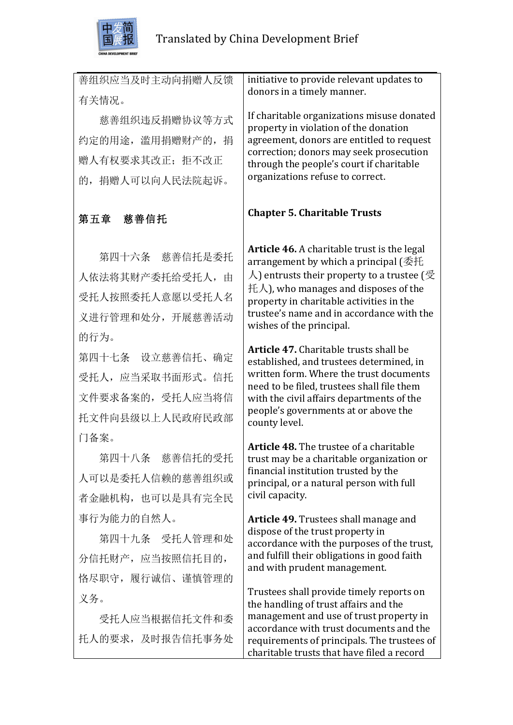

| 善组织应当及时主动向捐赠人反馈   | initiative to provide relevant updates to                                                 |
|-------------------|-------------------------------------------------------------------------------------------|
| 有关情况。             | donors in a timely manner.                                                                |
| 慈善组织违反捐赠协议等方式     | If charitable organizations misuse donated<br>property in violation of the donation       |
| 约定的用途, 滥用捐赠财产的, 捐 | agreement, donors are entitled to request                                                 |
| 赠人有权要求其改正; 拒不改正   | correction; donors may seek prosecution<br>through the people's court if charitable       |
| 的, 捐赠人可以向人民法院起诉。  | organizations refuse to correct.                                                          |
| 第五章 慈善信托          | <b>Chapter 5. Charitable Trusts</b>                                                       |
| 第四十六条 慈善信托是委托     | Article 46. A charitable trust is the legal<br>arrangement by which a principal (委托       |
| 人依法将其财产委托给受托人,由   | $\lambda$ ) entrusts their property to a trustee ( $\circled$                             |
| 受托人按照委托人意愿以受托人名   | 托人), who manages and disposes of the<br>property in charitable activities in the          |
| 义进行管理和处分, 开展慈善活动  | trustee's name and in accordance with the<br>wishes of the principal.                     |
| 的行为。              |                                                                                           |
| 第四十七条 设立慈善信托、确定   | <b>Article 47.</b> Charitable trusts shall be<br>established, and trustees determined, in |
| 受托人, 应当采取书面形式。信托  | written form. Where the trust documents<br>need to be filed, trustees shall file them     |
| 文件要求备案的, 受托人应当将信  | with the civil affairs departments of the                                                 |
| 托文件向县级以上人民政府民政部   | people's governments at or above the<br>county level.                                     |
| 门备案。              | Article 48. The trustee of a charitable                                                   |
| 第四十八条 慈善信托的受托     | trust may be a charitable organization or                                                 |
| 人可以是委托人信赖的慈善组织或   | financial institution trusted by the<br>principal, or a natural person with full          |
| 者金融机构, 也可以是具有完全民  | civil capacity.                                                                           |
| 事行为能力的自然人。        | <b>Article 49.</b> Trustees shall manage and                                              |
| 第四十九条 受托人管理和处     | dispose of the trust property in<br>accordance with the purposes of the trust,            |
| 分信托财产, 应当按照信托目的,  | and fulfill their obligations in good faith<br>and with prudent management.               |
| 恪尽职守, 履行诚信、谨慎管理的  |                                                                                           |
| 义务。               | Trustees shall provide timely reports on<br>the handling of trust affairs and the         |
| 受托人应当根据信托文件和委     | management and use of trust property in<br>accordance with trust documents and the        |
| 托人的要求, 及时报告信托事务处  | requirements of principals. The trustees of<br>charitable trusts that have filed a record |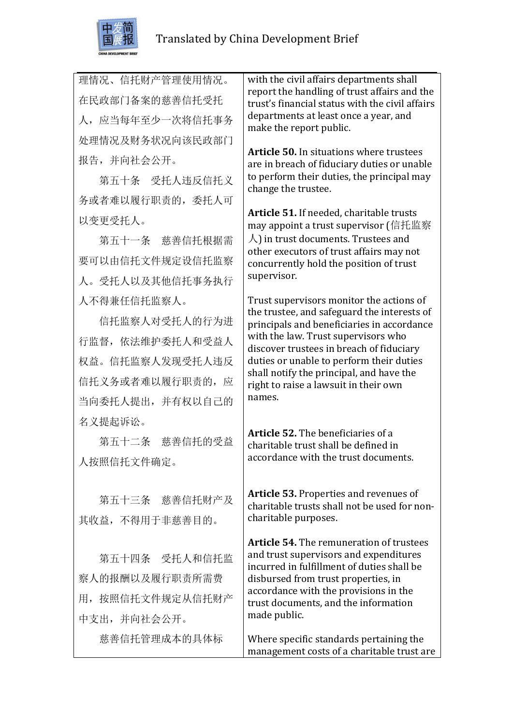

理情况、信托财产管理使用情况。 在民政部门备案的慈善信托受托 人,应当每年至少一次将信托事务 处理情况及财务状况向该民政部门 报告,并向社会公开。

第五十条 受托人违反信托义 务或者难以履行职责的,委托人可 以变更受托人。

 第五十一条 慈善信托根据需 要可以由信托文件规定设信托监察 人。受托人以及其他信托事务执行 人不得兼任信托监察人。

 信托监察人对受托人的行为进 行监督,依法维护委托人和受益人 权益。信托监察人发现受托人违反 信托义务或者难以履行职责的,应 当向委托人提出,并有权以自己的 名义提起诉讼。

 第五十二条 慈善信托的受益 人按照信托文件确定。

 第五十三条 慈善信托财产及 其收益,不得用于非慈善目的。

 第五十四条 受托人和信托监 察人的报酬以及履行职责所需费 用,按照信托文件规定从信托财产 中支出,并向社会公开。

慈善信托管理成本的具体标

with the civil affairs departments shall report the handling of trust affairs and the trust's financial status with the civil affairs departments at least once a year, and make the report public.

**Article 50.** In situations where trustees are in breach of fiduciary duties or unable to perform their duties, the principal may change the trustee.

**Article 51.** If needed, charitable trusts may appoint a trust supervisor (信托监察  $\Lambda$ ) in trust documents. Trustees and other executors of trust affairs may not concurrently hold the position of trust supervisor.

Trust supervisors monitor the actions of the trustee, and safeguard the interests of principals and beneficiaries in accordance with the law. Trust supervisors who discover trustees in breach of fiduciary duties or unable to perform their duties shall notify the principal, and have the right to raise a lawsuit in their own names.

**Article 52.** The beneficiaries of a charitable trust shall be defined in accordance with the trust documents.

Article 53. Properties and revenues of charitable trusts shall not be used for noncharitable purposes.

**Article 54.** The remuneration of trustees and trust supervisors and expenditures incurred in fulfillment of duties shall be disbursed from trust properties, in accordance with the provisions in the trust documents, and the information made public.

Where specific standards pertaining the management costs of a charitable trust are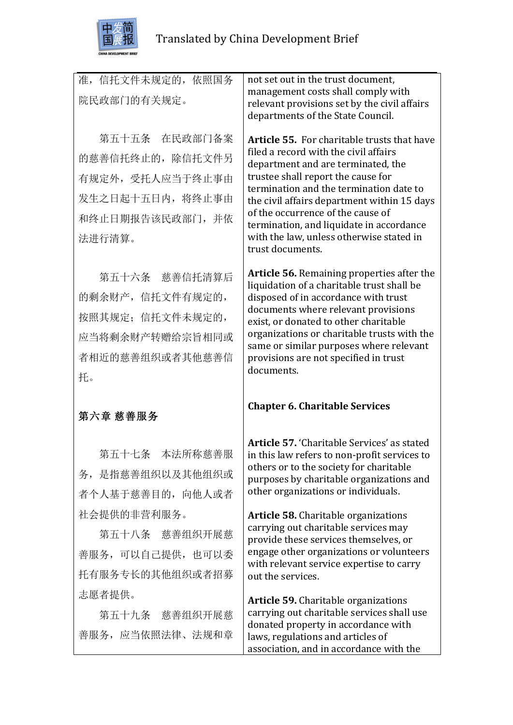

| 准, 信托文件未规定的, 依照国务<br>院民政部门的有关规定。                                                                        | not set out in the trust document,<br>management costs shall comply with<br>relevant provisions set by the civil affairs<br>departments of the State Council.                                                                                                                                                                                                                                                      |
|---------------------------------------------------------------------------------------------------------|--------------------------------------------------------------------------------------------------------------------------------------------------------------------------------------------------------------------------------------------------------------------------------------------------------------------------------------------------------------------------------------------------------------------|
| 第五十五条 在民政部门备案<br>的慈善信托终止的, 除信托文件另<br>有规定外, 受托人应当于终止事由<br>发生之日起十五日内, 将终止事由<br>和终止日期报告该民政部门, 并依<br>法进行清算。 | <b>Article 55.</b> For charitable trusts that have<br>filed a record with the civil affairs<br>department and are terminated, the<br>trustee shall report the cause for<br>termination and the termination date to<br>the civil affairs department within 15 days<br>of the occurrence of the cause of<br>termination, and liquidate in accordance<br>with the law, unless otherwise stated in<br>trust documents. |
| 第五十六条 慈善信托清算后<br>的剩余财产,信托文件有规定的,<br>按照其规定: 信托文件未规定的,<br>应当将剩余财产转赠给宗旨相同或<br>者相近的慈善组织或者其他慈善信<br>托。        | Article 56. Remaining properties after the<br>liquidation of a charitable trust shall be<br>disposed of in accordance with trust<br>documents where relevant provisions<br>exist, or donated to other charitable<br>organizations or charitable trusts with the<br>same or similar purposes where relevant<br>provisions are not specified in trust<br>documents.                                                  |
| 第六章 慈善服务                                                                                                | <b>Chapter 6. Charitable Services</b>                                                                                                                                                                                                                                                                                                                                                                              |
| 第五十七条 本法所称慈善服<br>务, 是指慈善组织以及其他组织或<br>者个人基于慈善目的, 向他人或者                                                   | Article 57. 'Charitable Services' as stated<br>in this law refers to non-profit services to<br>others or to the society for charitable<br>purposes by charitable organizations and<br>other organizations or individuals.                                                                                                                                                                                          |
| 社会提供的非营利服务。<br>第五十八条 慈善组织开展慈<br>善服务,可以自己提供,也可以委<br>托有服务专长的其他组织或者招募                                      | <b>Article 58.</b> Charitable organizations<br>carrying out charitable services may<br>provide these services themselves, or<br>engage other organizations or volunteers<br>with relevant service expertise to carry<br>out the services.                                                                                                                                                                          |
| 志愿者提供。<br>第五十九条 慈善组织开展慈<br>善服务, 应当依照法律、法规和章                                                             | <b>Article 59.</b> Charitable organizations<br>carrying out charitable services shall use<br>donated property in accordance with<br>laws, regulations and articles of                                                                                                                                                                                                                                              |

association, and in accordance with the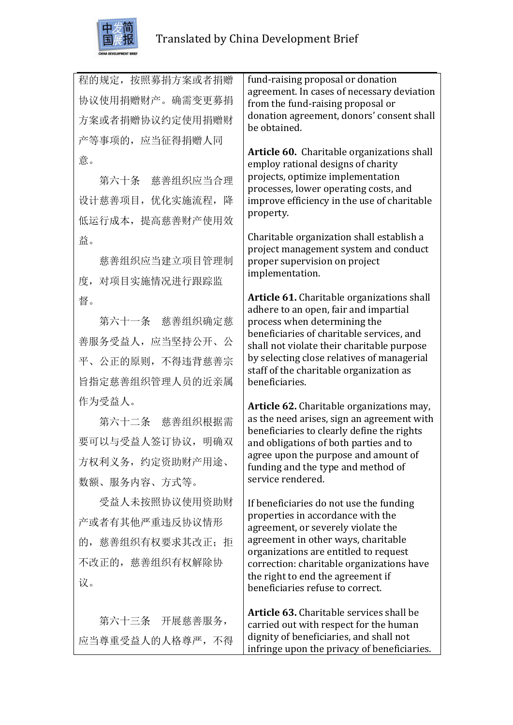

程的规定,按照募捐方案或者捐赠 协议使用捐赠财产。确需变更募捐 方案或者捐赠协议约定使用捐赠财 产等事项的,应当征得捐赠人同 意。

 第六十条 慈善组织应当合理 设计慈善项目,优化实施流程,降 低运行成本,提高慈善财产使用效 益。

 慈善组织应当建立项目管理制 度,对项目实施情况进行跟踪监 督。

 第六十一条 慈善组织确定慈 善服务受益人,应当坚持公开、公 平、公正的原则,不得违背慈善宗 旨指定慈善组织管理人员的近亲属 作为受益人。

 第六十二条 慈善组织根据需 要可以与受益人签订协议,明确双 方权利义务,约定资助财产用途、 数额、服务内容、方式等。

 受益人未按照协议使用资助财 产或者有其他严重违反协议情形 的,慈善组织有权要求其改正;拒 不改正的,慈善组织有权解除协 议。

 第六十三条 开展慈善服务, 应当尊重受益人的人格尊严,不得 fund-raising proposal or donation agreement. In cases of necessary deviation from the fund-raising proposal or donation agreement, donors' consent shall be obtained.

Article 60. Charitable organizations shall employ rational designs of charity projects, optimize implementation processes, lower operating costs, and improve efficiency in the use of charitable property.

Charitable organization shall establish a project management system and conduct proper supervision on project implementation.

**Article 61.** Charitable organizations shall adhere to an open, fair and impartial process when determining the beneficiaries of charitable services, and shall not violate their charitable purpose by selecting close relatives of managerial staff of the charitable organization as beneficiaries.

**Article 62.** Charitable organizations may, as the need arises, sign an agreement with beneficiaries to clearly define the rights and obligations of both parties and to agree upon the purpose and amount of funding and the type and method of service rendered.

If beneficiaries do not use the funding properties in accordance with the agreement, or severely violate the agreement in other ways, charitable organizations are entitled to request correction: charitable organizations have the right to end the agreement if beneficiaries refuse to correct.

**Article 63.** Charitable services shall be carried out with respect for the human dignity of beneficiaries, and shall not infringe upon the privacy of beneficiaries.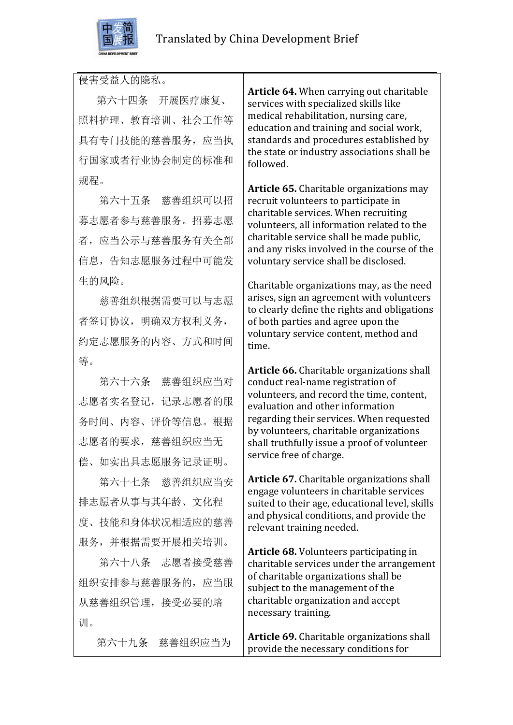

侵害受益人的隐私。

 第六十四条 开展医疗康复、 照料护理、教育培训、社会工作等 具有专门技能的慈善服务,应当执 行国家或者行业协会制定的标准和 规程。

 第六十五条 慈善组织可以招 募志愿者参与慈善服务。招募志愿 者,应当公示与慈善服务有关全部 信息,告知志愿服务过程中可能发 生的风险。

 慈善组织根据需要可以与志愿 者签订协议,明确双方权利义务, 约定志愿服务的内容、方式和时间 等。

 第六十六条 慈善组织应当对 志愿者实名登记,记录志愿者的服 务时间、内容、评价等信息。根据 志愿者的要求,慈善组织应当无 偿、如实出具志愿服务记录证明。

 第六十七条 慈善组织应当安 排志愿者从事与其年龄、文化程 度、技能和身体状况相适应的慈善 服务,并根据需要开展相关培训。

 第六十八条 志愿者接受慈善 组织安排参与慈善服务的,应当服 从慈善组织管理,接受必要的培 训。

 第六十九条 慈善组织应当为

**Article 64.** When carrying out charitable services with specialized skills like medical rehabilitation, nursing care, education and training and social work. standards and procedures established by the state or industry associations shall be followed.

**Article 65.** Charitable organizations may recruit volunteers to participate in charitable services. When recruiting volunteers, all information related to the charitable service shall be made public. and any risks involved in the course of the voluntary service shall be disclosed.

Charitable organizations may, as the need arises, sign an agreement with volunteers to clearly define the rights and obligations of both parties and agree upon the voluntary service content, method and time.

Article 66. Charitable organizations shall conduct real-name registration of volunteers, and record the time, content, evaluation and other information regarding their services. When requested by volunteers, charitable organizations shall truthfully issue a proof of volunteer service free of charge.

**Article 67.** Charitable organizations shall engage volunteers in charitable services suited to their age, educational level, skills and physical conditions, and provide the relevant training needed.

**Article 68.** Volunteers participating in charitable services under the arrangement of charitable organizations shall be subject to the management of the charitable organization and accept necessary training.

**Article 69.** Charitable organizations shall provide the necessary conditions for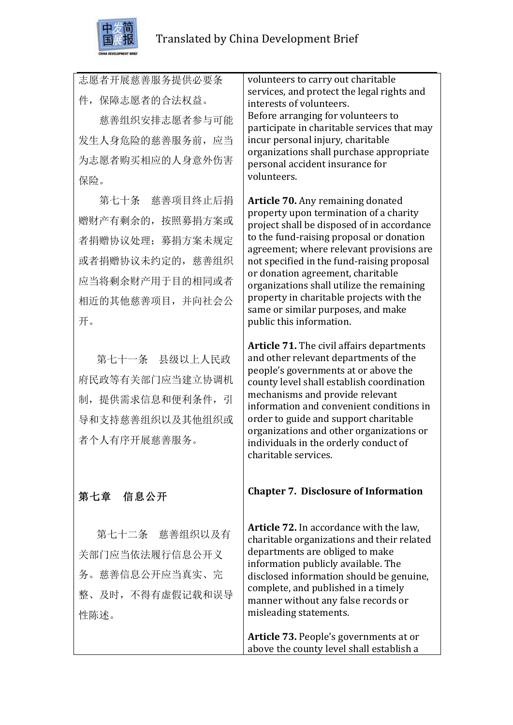

志愿者开展慈善服务提供必要条 件,保障志愿者的合法权益。

 慈善组织安排志愿者参与可能 发生人身危险的慈善服务前,应当 为志愿者购买相应的人身意外伤害 保险。

第七十条 慈善项目终止后捐 赠财产有剩余的,按照募捐方案或 者捐赠协议处理; 募捐方案未规定 或者捐赠协议未约定的,慈善组织 应当将剩余财产用于目的相同或者 相近的其他慈善项目,并向社会公 开。

 第七十一条 县级以上人民政 府民政等有关部门应当建立协调机 制,提供需求信息和便利条件,引 导和支持慈善组织以及其他组织或 者个人有序开展慈善服务。

# 第七章 信息公开

第七十二条 慈善组织以及有 关部门应当依法履行信息公开义 务。慈善信息公开应当真实、完 整、及时,不得有虚假记载和误导 性陈述。

volunteers to carry out charitable services, and protect the legal rights and interests of volunteers. Before arranging for volunteers to participate in charitable services that may incur personal injury, charitable organizations shall purchase appropriate personal accident insurance for volunteers.

**Article 70.** Any remaining donated property upon termination of a charity project shall be disposed of in accordance to the fund-raising proposal or donation agreement; where relevant provisions are not specified in the fund-raising proposal or donation agreement, charitable organizations shall utilize the remaining property in charitable projects with the same or similar purposes, and make public this information.

**Article 71.** The civil affairs departments and other relevant departments of the people's governments at or above the county level shall establish coordination mechanisms and provide relevant information and convenient conditions in order to guide and support charitable organizations and other organizations or individuals in the orderly conduct of charitable services.

### **Chapter 7. Disclosure of Information**

**Article 72.** In accordance with the law. charitable organizations and their related departments are obliged to make information publicly available. The disclosed information should be genuine, complete, and published in a timely manner without any false records or misleading statements.

**Article 73.** People's governments at or above the county level shall establish a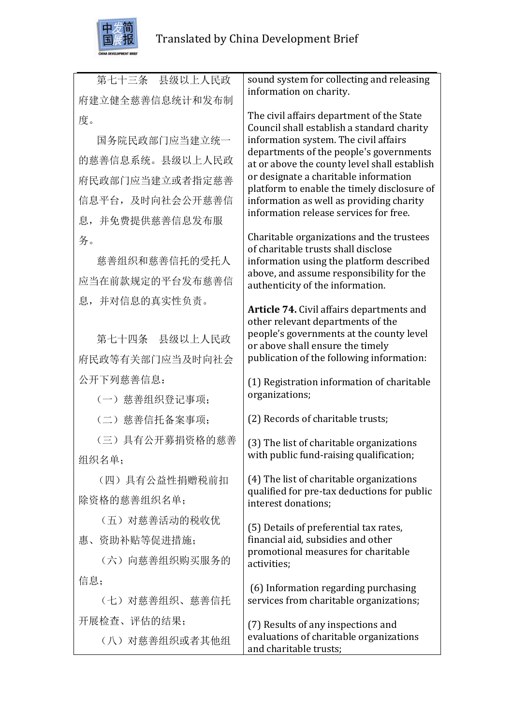

| 第七十三条 县级以上人民政    | sound system for collecting and releasing                                               |
|------------------|-----------------------------------------------------------------------------------------|
| 府建立健全慈善信息统计和发布制  | information on charity.                                                                 |
| 度。               | The civil affairs department of the State<br>Council shall establish a standard charity |
| 国务院民政部门应当建立统一    | information system. The civil affairs                                                   |
| 的慈善信息系统。县级以上人民政  | departments of the people's governments<br>at or above the county level shall establish |
| 府民政部门应当建立或者指定慈善  | or designate a charitable information                                                   |
| 信息平台, 及时向社会公开慈善信 | platform to enable the timely disclosure of<br>information as well as providing charity |
| 息, 并免费提供慈善信息发布服  | information release services for free.                                                  |
| 务。               | Charitable organizations and the trustees                                               |
| 慈善组织和慈善信托的受托人    | of charitable trusts shall disclose<br>information using the platform described         |
| 应当在前款规定的平台发布慈善信  | above, and assume responsibility for the<br>authenticity of the information.            |
| 息,并对信息的真实性负责。    |                                                                                         |
|                  | Article 74. Civil affairs departments and<br>other relevant departments of the          |
| 第七十四条 县级以上人民政    | people's governments at the county level                                                |
| 府民政等有关部门应当及时向社会  | or above shall ensure the timely<br>publication of the following information:           |
| 公开下列慈善信息:        |                                                                                         |
| (一) 慈善组织登记事项;    | (1) Registration information of charitable<br>organizations;                            |
|                  |                                                                                         |
| (二) 慈善信托备案事项;    | (2) Records of charitable trusts;                                                       |
| (三) 具有公开募捐资格的慈善  | (3) The list of charitable organizations                                                |
| 组织名单;            | with public fund-raising qualification;                                                 |
| (四) 具有公益性捐赠税前扣   | (4) The list of charitable organizations<br>qualified for pre-tax deductions for public |
| 除资格的慈善组织名单;      | interest donations;                                                                     |
| (五) 对慈善活动的税收优    | (5) Details of preferential tax rates,                                                  |
| 惠、资助补贴等促进措施;     | financial aid, subsidies and other                                                      |
| (六) 向慈善组织购买服务的   | promotional measures for charitable<br>activities;                                      |
| 信息;              |                                                                                         |
| (七) 对慈善组织、慈善信托   | (6) Information regarding purchasing<br>services from charitable organizations;         |
| 开展检查、评估的结果;      | (7) Results of any inspections and                                                      |
| (八) 对慈善组织或者其他组   | evaluations of charitable organizations<br>and charitable trusts;                       |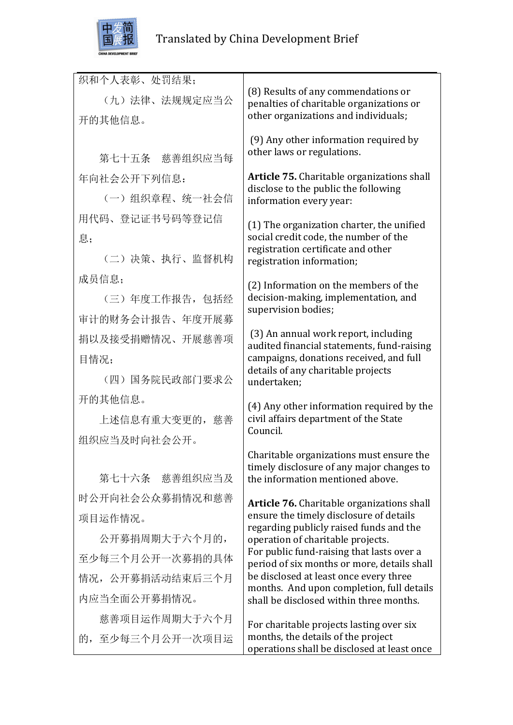

| 织和个人表彰、处罚结果;     |                                                                                          |
|------------------|------------------------------------------------------------------------------------------|
| (九)法律、法规规定应当公    | (8) Results of any commendations or<br>penalties of charitable organizations or          |
| 开的其他信息。          | other organizations and individuals;                                                     |
|                  | (9) Any other information required by                                                    |
| 第七十五条 慈善组织应当每    | other laws or regulations.                                                               |
| 年向社会公开下列信息:      | Article 75. Charitable organizations shall                                               |
| (一) 组织章程、统一社会信   | disclose to the public the following<br>information every year:                          |
| 用代码、登记证书号码等登记信   | (1) The organization charter, the unified                                                |
| 息;               | social credit code, the number of the<br>registration certificate and other              |
| (二)决策、执行、监督机构    | registration information;                                                                |
| 成员信息;            | (2) Information on the members of the                                                    |
| (三)年度工作报告,包括经    | decision-making, implementation, and                                                     |
| 审计的财务会计报告、年度开展募  | supervision bodies;                                                                      |
| 捐以及接受捐赠情况、开展慈善项  | (3) An annual work report, including<br>audited financial statements, fund-raising       |
| 目情况;             | campaigns, donations received, and full                                                  |
| (四) 国务院民政部门要求公   | details of any charitable projects<br>undertaken;                                        |
| 开的其他信息。          | (4) Any other information required by the                                                |
| 上述信息有重大变更的, 慈善   | civil affairs department of the State<br>Council.                                        |
| 组织应当及时向社会公开。     |                                                                                          |
|                  | Charitable organizations must ensure the                                                 |
| 第七十六条 慈善组织应当及    | timely disclosure of any major changes to<br>the information mentioned above.            |
| 时公开向社会公众募捐情况和慈善  | <b>Article 76.</b> Charitable organizations shall                                        |
| 项目运作情况。          | ensure the timely disclosure of details                                                  |
| 公开募捐周期大于六个月的,    | regarding publicly raised funds and the<br>operation of charitable projects.             |
| 至少每三个月公开一次募捐的具体  | For public fund-raising that lasts over a<br>period of six months or more, details shall |
| 情况, 公开募捐活动结束后三个月 | be disclosed at least once every three<br>months. And upon completion, full details      |
| 内应当全面公开募捐情况。     | shall be disclosed within three months.                                                  |
| 慈善项目运作周期大于六个月    | For charitable projects lasting over six                                                 |
| 的,至少每三个月公开一次项目运  | months, the details of the project<br>operations shall be disclosed at least once        |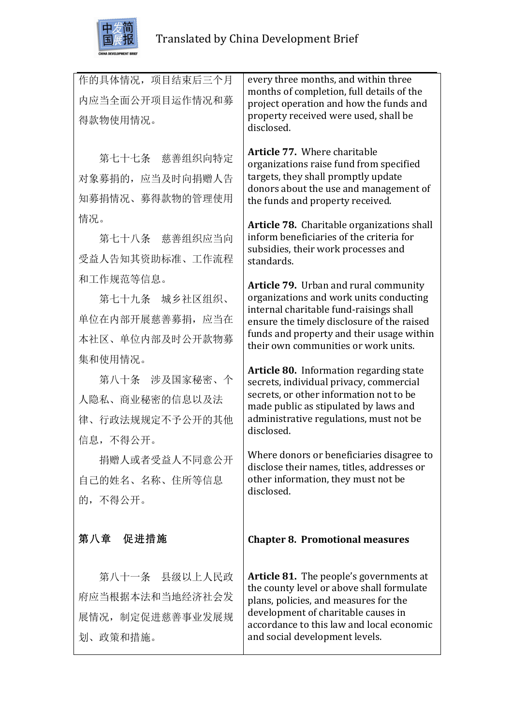

| 作的具体情况, 项目结束后三个月<br>内应当全面公开项目运作情况和募<br>得款物使用情况。                            | every three months, and within three<br>months of completion, full details of the<br>project operation and how the funds and<br>property received were used, shall be<br>disclosed.                                                                                   |
|----------------------------------------------------------------------------|-----------------------------------------------------------------------------------------------------------------------------------------------------------------------------------------------------------------------------------------------------------------------|
| 第七十七条 慈善组织向特定<br>对象募捐的, 应当及时向捐赠人告<br>知募捐情况、募得款物的管理使用                       | <b>Article 77. Where charitable</b><br>organizations raise fund from specified<br>targets, they shall promptly update<br>donors about the use and management of<br>the funds and property received.                                                                   |
| 情况。<br>第七十八条 慈善组织应当向<br>受益人告知其资助标准、工作流程                                    | Article 78. Charitable organizations shall<br>inform beneficiaries of the criteria for<br>subsidies, their work processes and<br>standards.                                                                                                                           |
| 和工作规范等信息。<br>第七十九条 城乡社区组织、<br>单位在内部开展慈善募捐, 应当在<br>本社区、单位内部及时公开款物募          | <b>Article 79.</b> Urban and rural community<br>organizations and work units conducting<br>internal charitable fund-raisings shall<br>ensure the timely disclosure of the raised<br>funds and property and their usage within<br>their own communities or work units. |
| 集和使用情况。<br>第八十条 涉及国家秘密、个<br>人隐私、商业秘密的信息以及法<br>律、行政法规规定不予公开的其他<br>信息, 不得公开。 | <b>Article 80.</b> Information regarding state<br>secrets, individual privacy, commercial<br>secrets, or other information not to be<br>made public as stipulated by laws and<br>administrative regulations, must not be<br>disclosed.                                |
| 捐赠人或者受益人不同意公开<br>自己的姓名、名称、住所等信息<br>的,不得公开。                                 | Where donors or beneficiaries disagree to<br>disclose their names, titles, addresses or<br>other information, they must not be<br>disclosed.                                                                                                                          |
| 第八章 促进措施                                                                   | <b>Chapter 8. Promotional measures</b>                                                                                                                                                                                                                                |
| 第八十一条 县级以上人民政<br>府应当根据本法和当地经济社会发<br>展情况, 制定促进慈善事业发展规<br>划、政策和措施。           | <b>Article 81.</b> The people's governments at<br>the county level or above shall formulate<br>plans, policies, and measures for the<br>development of charitable causes in<br>accordance to this law and local economic<br>and social development levels.            |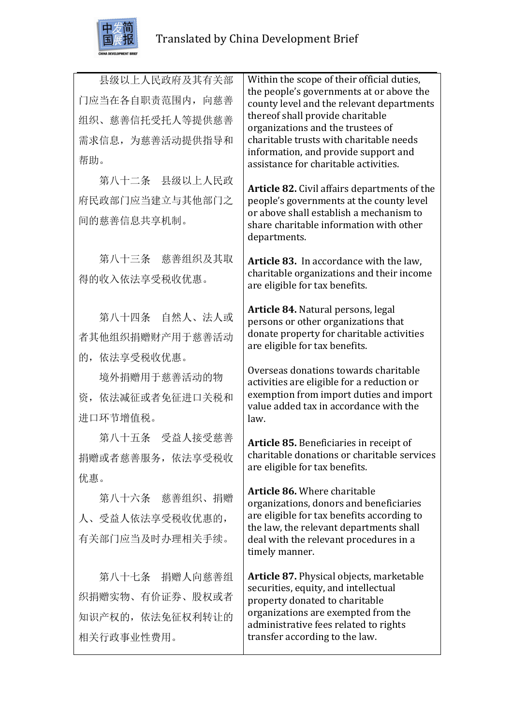

县级以上人民政府及其有关部 门应当在各自职责范围内,向慈善 组织、慈善信托受托人等提供慈善 需求信息,为慈善活动提供指导和 帮助。 第八十二条 县级以上人民政 府民政部门应当建立与其他部门之 间的慈善信息共享机制。 第八十三条 慈善组织及其取 得的收入依法享受税收优惠。 第八十四条 自然人、法人或 者其他组织捐赠财产用于慈善活动 的,依法享受税收优惠。 境外捐赠用于慈善活动的物 资,依法减征或者免征进口关税和 进口环节增值税。 第八十五条 受益人接受慈善 捐赠或者慈善服务,依法享受税收 优惠。 第八十六条 慈善组织、捐赠 人、受益人依法享受税收优惠的, 有关部门应当及时办理相关手续。 第八十七条 捐赠人向慈善组 织捐赠实物、有价证券、股权或者 Within the scope of their official duties, the people's governments at or above the county level and the relevant departments thereof shall provide charitable organizations and the trustees of charitable trusts with charitable needs information, and provide support and assistance for charitable activities. **Article 82.** Civil affairs departments of the people's governments at the county level or above shall establish a mechanism to share charitable information with other departments. **Article 83.** In accordance with the law, charitable organizations and their income are eligible for tax benefits. Article 84. Natural persons, legal persons or other organizations that donate property for charitable activities are eligible for tax benefits. Overseas donations towards charitable activities are eligible for a reduction or exemption from import duties and import value added tax in accordance with the law. **Article 85.** Beneficiaries in receipt of charitable donations or charitable services are eligible for tax benefits. **Article 86.** Where charitable organizations, donors and beneficiaries are eligible for tax benefits according to the law, the relevant departments shall deal with the relevant procedures in a timely manner. Article 87. Physical objects, marketable securities, equity, and intellectual property donated to charitable

> organizations are exempted from the administrative fees related to rights

transfer according to the law.

相关行政事业性费用。

知识产权的,依法免征权利转让的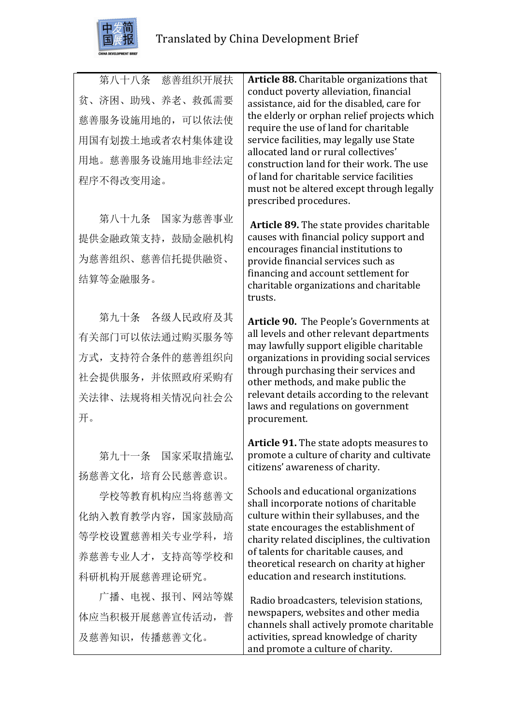

第八十八条 慈善组织开展扶 贫、济困、助残、养老、救孤需要 慈善服务设施用地的,可以依法使 用国有划拨土地或者农村集体建设 用地。慈善服务设施用地非经法定 程序不得改变用途。

第八十九条 国家为慈善事业 提供金融政策支持,鼓励金融机构 为慈善组织、慈善信托提供融资、 结算等金融服务。

第九十条 各级人民政府及其 有关部门可以依法通过购买服务等 方式,支持符合条件的慈善组织向 社会提供服务,并依照政府采购有 关法律、法规将相关情况向社会公 开。

第九十一条 国家采取措施弘 扬慈善文化,培育公民慈善意识。

学校等教育机构应当将慈善文 化纳入教育教学内容,国家鼓励高 等学校设置慈善相关专业学科,培 养慈善专业人才,支持高等学校和 科研机构开展慈善理论研究。

广播、电视、报刊、网站等媒 体应当积极开展慈善宣传活动,普 及慈善知识,传播慈善文化。

Article 88. Charitable organizations that conduct poverty alleviation, financial assistance, aid for the disabled, care for the elderly or orphan relief projects which require the use of land for charitable service facilities, may legally use State allocated land or rural collectives' construction land for their work. The use of land for charitable service facilities must not be altered except through legally prescribed procedures.

**Article 89.** The state provides charitable causes with financial policy support and encourages financial institutions to provide financial services such as financing and account settlement for charitable organizations and charitable trusts. 

Article 90. The People's Governments at all levels and other relevant departments may lawfully support eligible charitable organizations in providing social services through purchasing their services and other methods, and make public the relevant details according to the relevant laws and regulations on government procurement.

**Article 91.** The state adopts measures to promote a culture of charity and cultivate citizens' awareness of charity.

Schools and educational organizations shall incorporate notions of charitable culture within their syllabuses, and the state encourages the establishment of charity related disciplines, the cultivation of talents for charitable causes, and theoretical research on charity at higher education and research institutions.

Radio broadcasters, television stations, newspapers, websites and other media channels shall actively promote charitable activities, spread knowledge of charity and promote a culture of charity.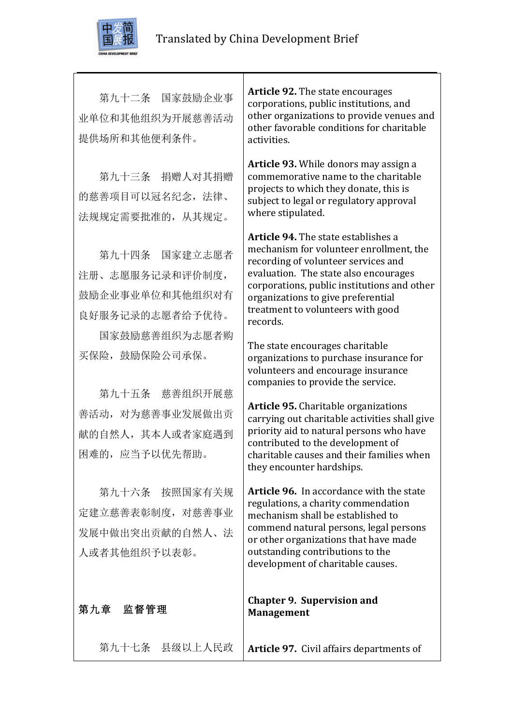

第九十二条 国家鼓励企业事 业单位和其他组织为开展慈善活动 提供场所和其他便利条件。

第九十三条 捐赠人对其捐赠 的慈善项目可以冠名纪念,法律、 法规规定需要批准的,从其规定。

第九十四条 国家建立志愿者 注册、志愿服务记录和评价制度, 鼓励企业事业单位和其他组织对有 良好服务记录的志愿者给予优待。

国家鼓励慈善组织为志愿者购 买保险,鼓励保险公司承保。

第九十五条 慈善组织开展慈 善活动,对为慈善事业发展做出贡 献的自然人,其本人或者家庭遇到 困难的,应当予以优先帮助。

第九十六条 按照国家有关规 定建立慈善表彰制度,对慈善事业 发展中做出突出贡献的自然人、法 人或者其他组织予以表彰。

第九章 监督管理

**Article 92.** The state encourages corporations, public institutions, and other organizations to provide venues and other favorable conditions for charitable activities. 

Article 93. While donors may assign a commemorative name to the charitable projects to which they donate, this is subject to legal or regulatory approval where stipulated.

**Article 94.** The state establishes a mechanism for volunteer enrollment, the recording of volunteer services and evaluation. The state also encourages corporations, public institutions and other organizations to give preferential treatment to volunteers with good records. 

The state encourages charitable organizations to purchase insurance for volunteers and encourage insurance companies to provide the service.

**Article 95.** Charitable organizations carrying out charitable activities shall give priority aid to natural persons who have contributed to the development of charitable causes and their families when they encounter hardships.

**Article 96.** In accordance with the state regulations, a charity commendation mechanism shall be established to commend natural persons, legal persons or other organizations that have made outstanding contributions to the development of charitable causes.

#### **Chapter 9. Supervision and Management**

第九十七条 县级以上人民政 **Article 97.** Civil affairs departments of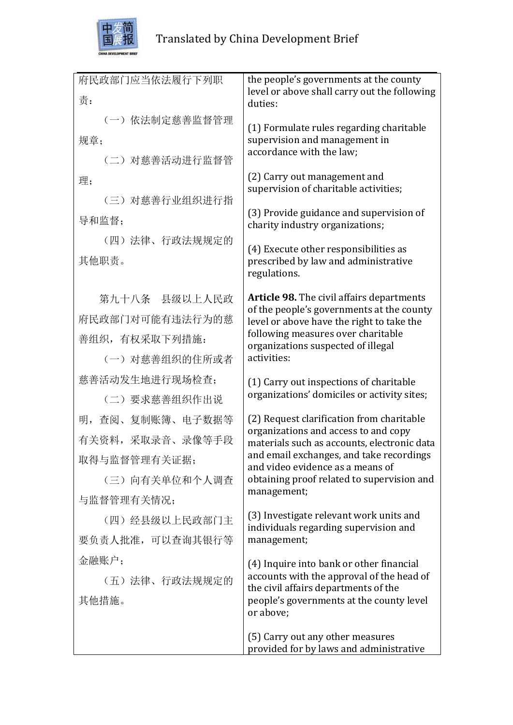

| 府民政部门应当依法履行下列职   | the people's governments at the county<br>level or above shall carry out the following |
|------------------|----------------------------------------------------------------------------------------|
| 责:               | duties:                                                                                |
| (一) 依法制定慈善监督管理   | (1) Formulate rules regarding charitable                                               |
| 规章;              | supervision and management in<br>accordance with the law;                              |
| (二) 对慈善活动进行监督管   |                                                                                        |
| 理;               | (2) Carry out management and<br>supervision of charitable activities;                  |
| (三) 对慈善行业组织进行指   |                                                                                        |
| 导和监督;            | (3) Provide guidance and supervision of<br>charity industry organizations;             |
| (四) 法律、行政法规规定的   |                                                                                        |
| 其他职责。            | (4) Execute other responsibilities as<br>prescribed by law and administrative          |
|                  | regulations.                                                                           |
| 第九十八条 县级以上人民政    | <b>Article 98.</b> The civil affairs departments                                       |
| 府民政部门对可能有违法行为的慈  | of the people's governments at the county<br>level or above have the right to take the |
| 善组织,有权采取下列措施:    | following measures over charitable                                                     |
| (一) 对慈善组织的住所或者   | organizations suspected of illegal<br>activities:                                      |
| 慈善活动发生地进行现场检查;   | (1) Carry out inspections of charitable                                                |
| (二) 要求慈善组织作出说    | organizations' domiciles or activity sites;                                            |
| 明, 查阅、复制账簿、电子数据等 | (2) Request clarification from charitable                                              |
| 有关资料,采取录音、录像等手段  | organizations and access to and copy<br>materials such as accounts, electronic data    |
| 取得与监督管理有关证据;     | and email exchanges, and take recordings<br>and video evidence as a means of           |
| (三) 向有关单位和个人调查   | obtaining proof related to supervision and                                             |
| 与监督管理有关情况;       | management;                                                                            |
| (四) 经县级以上民政部门主   | (3) Investigate relevant work units and<br>individuals regarding supervision and       |
| 要负责人批准,可以查询其银行等  | management;                                                                            |
| 金融账户;            | (4) Inquire into bank or other financial                                               |
| (五)法律、行政法规规定的    | accounts with the approval of the head of<br>the civil affairs departments of the      |
| 其他措施。            | people's governments at the county level                                               |
|                  | or above;                                                                              |
|                  | (5) Carry out any other measures                                                       |
|                  | provided for by laws and administrative                                                |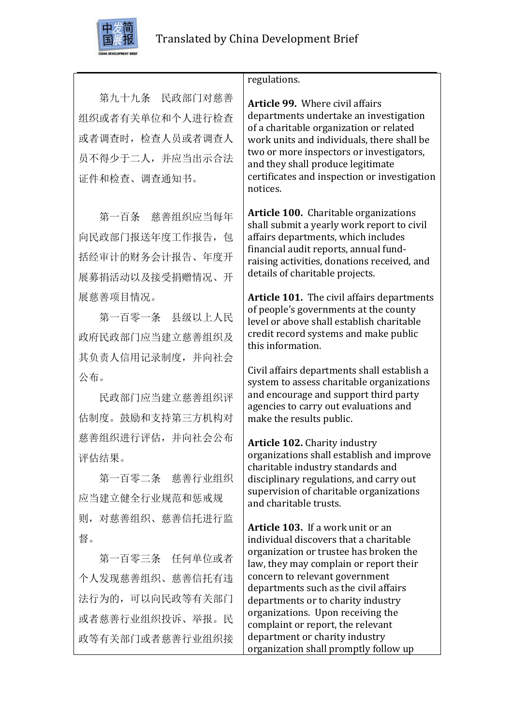

第九十九条 民政部门对慈善 组织或者有关单位和个人进行检查 或者调查时,检查人员或者调查人 员不得少于二人,并应当出示合法 证件和检查、调查通知书。

第一百条 慈善组织应当每年 向民政部门报送年度工作报告, 包 括经审计的财务会计报告、年度开 展募捐活动以及接受捐赠情况、开 展慈善项目情况。

第一百零一条 县级以上人民 政府民政部门应当建立慈善组织及 其负责人信用记录制度,并向社会 公布。

民政部门应当建立慈善组织评 估制度。鼓励和支持第三方机构对 慈善组织进行评估,并向社会公布 评估结果。

第一百零二条 慈善行业组织 应当建立健全行业规范和惩戒规 则,对慈善组织、慈善信托进行监 督。

第一百零三条 任何单位或者 个人发现慈善组织、慈善信托有违 法行为的,可以向民政等有关部门 或者慈善行业组织投诉、举报。民 政等有关部门或者慈善行业组织接

### regulations.

**Article 99.** Where civil affairs departments undertake an investigation of a charitable organization or related work units and individuals, there shall be two or more inspectors or investigators, and they shall produce legitimate certificates and inspection or investigation notices.

**Article 100.** Charitable organizations shall submit a vearly work report to civil affairs departments, which includes financial audit reports, annual fundraising activities, donations received, and details of charitable projects.

**Article 101.** The civil affairs departments of people's governments at the county level or above shall establish charitable credit record systems and make public this information.

Civil affairs departments shall establish a system to assess charitable organizations and encourage and support third party agencies to carry out evaluations and make the results public.

**Article 102.** Charity industry organizations shall establish and improve charitable industry standards and disciplinary regulations, and carry out supervision of charitable organizations and charitable trusts.

**Article 103.** If a work unit or an individual discovers that a charitable organization or trustee has broken the law, they may complain or report their concern to relevant government departments such as the civil affairs departments or to charity industry organizations. Upon receiving the complaint or report, the relevant department or charity industry organization shall promptly follow up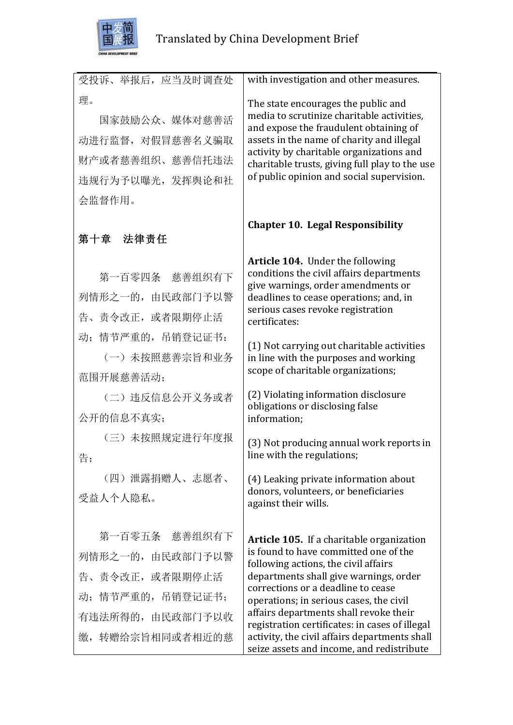

| 受投诉、举报后, 应当及时调查处     | with investigation and other measures.                                                                                      |
|----------------------|-----------------------------------------------------------------------------------------------------------------------------|
| 理。<br>国家鼓励公众、媒体对慈善活  | The state encourages the public and<br>media to scrutinize charitable activities,<br>and expose the fraudulent obtaining of |
| 动进行监督, 对假冒慈善名义骗取     | assets in the name of charity and illegal                                                                                   |
| 财产或者蒸善组织、蒸善信托违法      | activity by charitable organizations and<br>charitable trusts, giving full play to the use                                  |
| 违规行为予以曝光, 发挥舆论和社     | of public opinion and social supervision.                                                                                   |
| 会监督作用。               |                                                                                                                             |
| 第十章 法律责任             | <b>Chapter 10. Legal Responsibility</b>                                                                                     |
| 第一百零四条 慈善组织有下        | Article 104. Under the following<br>conditions the civil affairs departments<br>give warnings, order amendments or          |
| 列情形之一的, 由民政部门予以警     | deadlines to cease operations; and, in                                                                                      |
| 告、责令改正, 或者限期停止活      | serious cases revoke registration<br>certificates:                                                                          |
| 动; 情节严重的, 吊销登记证书:    | (1) Not carrying out charitable activities                                                                                  |
| (一) 未按照慈善宗旨和业务       | in line with the purposes and working<br>scope of charitable organizations;                                                 |
| 范围开展慈善活动:            |                                                                                                                             |
| (二) 违反信息公开义务或者       | (2) Violating information disclosure<br>obligations or disclosing false                                                     |
| 公开的信息不真实;            | information;                                                                                                                |
| (三) 未按照规定进行年度报<br>告; | (3) Not producing annual work reports in<br>line with the regulations;                                                      |
| (四) 泄露捐赠人、志愿者、       | (4) Leaking private information about                                                                                       |
| 受益人个人隐私。             | donors, volunteers, or beneficiaries<br>against their wills.                                                                |
| 第一百零五条 慈善组织有下        | Article 105. If a charitable organization                                                                                   |
| 列情形之一的, 由民政部门予以警     | is found to have committed one of the<br>following actions, the civil affairs                                               |
| 告、责令改正, 或者限期停止活      | departments shall give warnings, order<br>corrections or a deadline to cease                                                |
| 动; 情节严重的, 吊销登记证书;    | operations; in serious cases, the civil                                                                                     |
| 有违法所得的, 由民政部门予以收     | affairs departments shall revoke their<br>registration certificates: in cases of illegal                                    |
| 缴, 转赠给宗旨相同或者相近的慈     | activity, the civil affairs departments shall<br>seize assets and income, and redistribute                                  |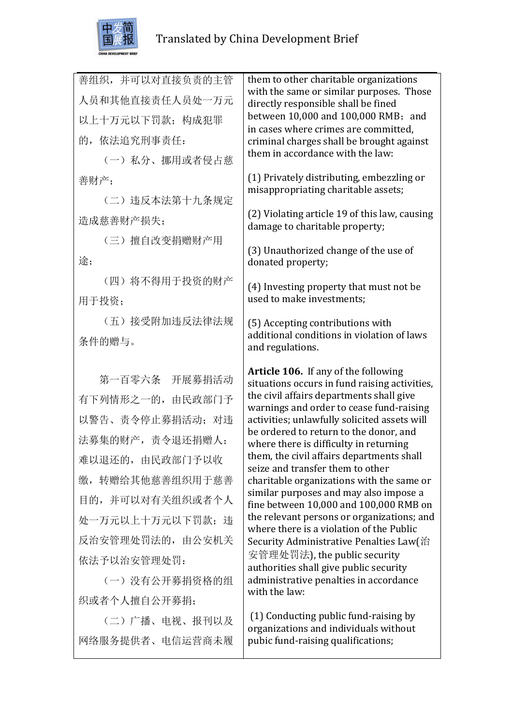

| 善组织,并可以对直接负责的主管  | them to other charitable organizations                                                    |
|------------------|-------------------------------------------------------------------------------------------|
| 人员和其他直接责任人员处一万元  | with the same or similar purposes. Those<br>directly responsible shall be fined           |
| 以上十万元以下罚款; 构成犯罪  | between 10,000 and 100,000 RMB; and<br>in cases where crimes are committed,               |
| 的, 依法追究刑事责任:     | criminal charges shall be brought against                                                 |
| (一) 私分、挪用或者侵占慈   | them in accordance with the law:                                                          |
| 善财产;             | (1) Privately distributing, embezzling or                                                 |
| (二) 违反本法第十九条规定   | misappropriating charitable assets;                                                       |
| 造成慈善财产损失;        | (2) Violating article 19 of this law, causing<br>damage to charitable property;           |
| (三) 擅自改变捐赠财产用    |                                                                                           |
| 途;               | (3) Unauthorized change of the use of<br>donated property;                                |
| (四) 将不得用于投资的财产   | (4) Investing property that must not be                                                   |
| 用于投资;            | used to make investments;                                                                 |
| (五) 接受附加违反法律法规   | (5) Accepting contributions with                                                          |
| 条件的赠与。           | additional conditions in violation of laws<br>and regulations.                            |
|                  |                                                                                           |
|                  |                                                                                           |
| 第一百零六条 开展募捐活动    | Article 106. If any of the following                                                      |
| 有下列情形之一的, 由民政部门予 | situations occurs in fund raising activities,<br>the civil affairs departments shall give |
| 以警告、责令停止募捐活动; 对违 | warnings and order to cease fund-raising<br>activities; unlawfully solicited assets will  |
| 法募集的财产,责令退还捐赠人;  | be ordered to return to the donor, and                                                    |
| 难以退还的, 由民政部门予以收  | where there is difficulty in returning<br>them, the civil affairs departments shall       |
| 缴, 转赠给其他慈善组织用于慈善 | seize and transfer them to other<br>charitable organizations with the same or             |
| 目的,并可以对有关组织或者个人  | similar purposes and may also impose a                                                    |
| 处一万元以上十万元以下罚款;违  | fine between 10,000 and 100,000 RMB on<br>the relevant persons or organizations; and      |
| 反治安管理处罚法的,由公安机关  | where there is a violation of the Public                                                  |
| 依法予以治安管理处罚:      | Security Administrative Penalties Law(治<br>安管理处罚法), the public security                   |
| (一) 没有公开募捐资格的组   | authorities shall give public security<br>administrative penalties in accordance          |
| 织或者个人擅自公开募捐;     | with the law:                                                                             |
| (二)广播、电视、报刊以及    | (1) Conducting public fund-raising by<br>organizations and individuals without            |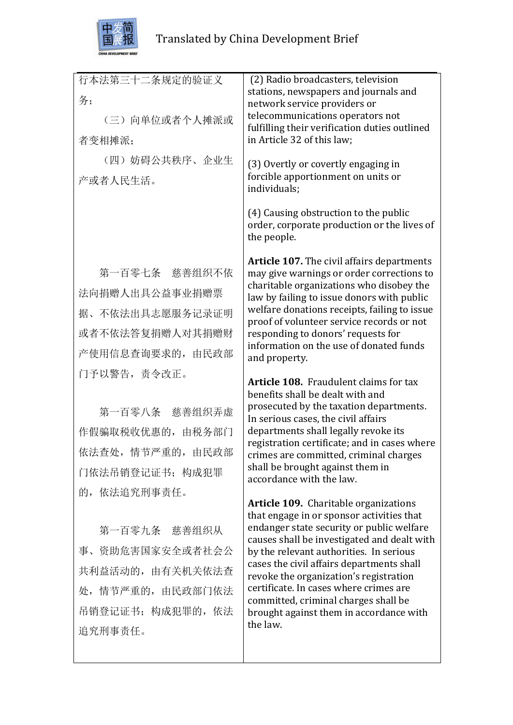

| 行本法第三十二条规定的验证义<br>务; | (2) Radio broadcasters, television<br>stations, newspapers and journals and<br>network service providers or |
|----------------------|-------------------------------------------------------------------------------------------------------------|
| (三) 向单位或者个人摊派或       | telecommunications operators not<br>fulfilling their verification duties outlined                           |
| 者变相摊派;               | in Article 32 of this law;                                                                                  |
| (四) 妨碍公共秩序、企业生       | (3) Overtly or covertly engaging in                                                                         |
| 产或者人民生活。             | forcible apportionment on units or<br>individuals;                                                          |
|                      | (4) Causing obstruction to the public<br>order, corporate production or the lives of<br>the people.         |
| 第一百零七条 慈善组织不依        | <b>Article 107.</b> The civil affairs departments<br>may give warnings or order corrections to              |
| 法向捐赠人出具公益事业捐赠票       | charitable organizations who disobey the                                                                    |
| 据、不依法出具志愿服务记录证明      | law by failing to issue donors with public<br>welfare donations receipts, failing to issue                  |
| 或者不依法答复捐赠人对其捐赠财      | proof of volunteer service records or not<br>responding to donors' requests for                             |
| 产使用信息查询要求的,由民政部      | information on the use of donated funds                                                                     |
| 门予以警告, 责令改正。         | and property.                                                                                               |
|                      | <b>Article 108.</b> Fraudulent claims for tax<br>benefits shall be dealt with and                           |
| 第一百零八条 慈善组织弄虚        | prosecuted by the taxation departments.                                                                     |
| 作假骗取税收优惠的,由税务部门      | In serious cases, the civil affairs<br>departments shall legally revoke its                                 |
| 依法查处,情节严重的,由民政部      | registration certificate; and in cases where                                                                |
| 门依法吊销登记证书; 构成犯罪      | crimes are committed, criminal charges<br>shall be brought against them in                                  |
| 的,依法追究刑事责任。          | accordance with the law.                                                                                    |
|                      | <b>Article 109.</b> Charitable organizations                                                                |
| 第一百零九条 慈善组织从         | that engage in or sponsor activities that<br>endanger state security or public welfare                      |
| 事、资助危害国家安全或者社会公      | causes shall be investigated and dealt with                                                                 |
| 共利益活动的, 由有关机关依法查     | by the relevant authorities. In serious<br>cases the civil affairs departments shall                        |
| 处,情节严重的,由民政部门依法      | revoke the organization's registration<br>certificate. In cases where crimes are                            |
|                      | committed, criminal charges shall be                                                                        |
| 吊销登记证书; 构成犯罪的, 依法    | brought against them in accordance with<br>the law.                                                         |
| 追究刑事责任。              |                                                                                                             |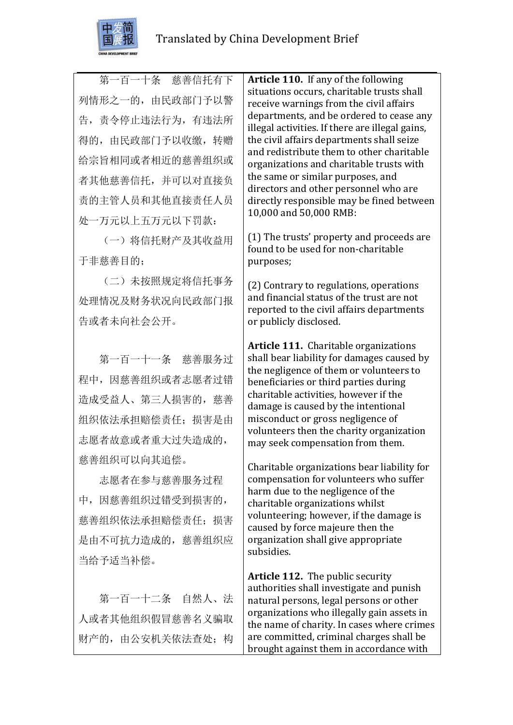

第一百一十条 慈善信托有下 列情形之一的,由民政部门予以警 告,责令停止违法行为,有违法所 得的,由民政部门予以收缴,转赠 给宗旨相同或者相近的慈善组织或 者其他慈善信托,并可以对直接负 责的主管人员和其他直接责任人员 处一万元以上五万元以下罚款:

(一)将信托财产及其收益用 于非慈善目的;

(二)未按照规定将信托事务 处理情况及财务状况向民政部门报 告或者未向社会公开。

第一百一十一条 慈善服务过 程中,因慈善组织或者志愿者过错 造成受益人、第三人损害的,慈善 组织依法承担赔偿责任;损害是由 志愿者故意或者重大过失造成的, 慈善组织可以向其追偿。

志愿者在参与慈善服务过程 中,因慈善组织过错受到损害的, 慈善组织依法承担赔偿责任;损害 是由不可抗力造成的, 慈善组织应 当给予适当补偿。

第一百一十二条 自然人、法 人或者其他组织假冒慈善名义骗取 财产的,由公安机关依法查处;构 **Article 110.** If any of the following situations occurs, charitable trusts shall receive warnings from the civil affairs departments, and be ordered to cease any illegal activities. If there are illegal gains, the civil affairs departments shall seize and redistribute them to other charitable organizations and charitable trusts with the same or similar purposes, and directors and other personnel who are directly responsible may be fined between 10,000 and 50,000 RMB:

(1) The trusts' property and proceeds are found to be used for non-charitable purposes;

(2) Contrary to regulations, operations and financial status of the trust are not reported to the civil affairs departments or publicly disclosed.

**Article 111.** Charitable organizations shall bear liability for damages caused by the negligence of them or volunteers to beneficiaries or third parties during charitable activities, however if the damage is caused by the intentional misconduct or gross negligence of volunteers then the charity organization may seek compensation from them.

Charitable organizations bear liability for compensation for volunteers who suffer harm due to the negligence of the charitable organizations whilst volunteering; however, if the damage is caused by force majeure then the organization shall give appropriate subsidies. 

**Article 112.** The public security authorities shall investigate and punish natural persons, legal persons or other organizations who illegally gain assets in the name of charity. In cases where crimes are committed, criminal charges shall be brought against them in accordance with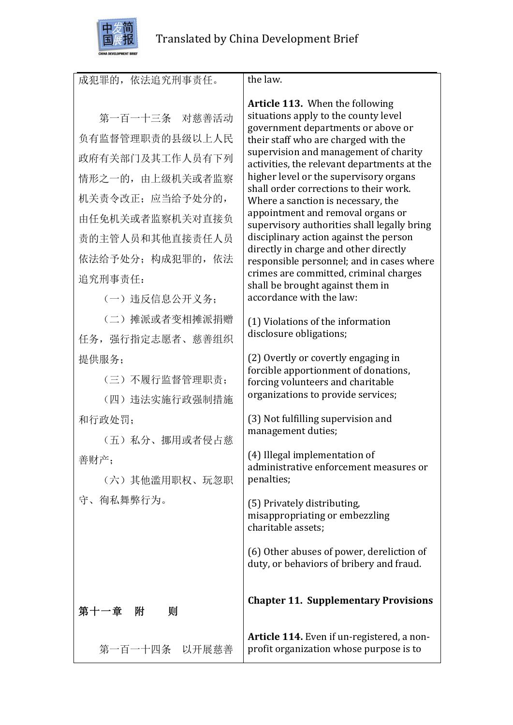

 $\overline{\phantom{a}}$ 

|                   | the law.                                                                              |
|-------------------|---------------------------------------------------------------------------------------|
| 成犯罪的, 依法追究刑事责任。   |                                                                                       |
|                   | <b>Article 113.</b> When the following<br>situations apply to the county level        |
| 第一百一十三条 对慈善活动     | government departments or above or                                                    |
| 负有监督管理职责的县级以上人民   | their staff who are charged with the<br>supervision and management of charity         |
| 政府有关部门及其工作人员有下列   | activities, the relevant departments at the                                           |
| 情形之一的, 由上级机关或者监察  | higher level or the supervisory organs<br>shall order corrections to their work.      |
| 机关责令改正; 应当给予处分的,  | Where a sanction is necessary, the                                                    |
| 由任免机关或者监察机关对直接负   | appointment and removal organs or<br>supervisory authorities shall legally bring      |
| 责的主管人员和其他直接责任人员   | disciplinary action against the person                                                |
| 依法给予处分; 构成犯罪的, 依法 | directly in charge and other directly<br>responsible personnel; and in cases where    |
| 追究刑事责任:           | crimes are committed, criminal charges<br>shall be brought against them in            |
| (一) 违反信息公开义务:     | accordance with the law:                                                              |
| (二) 摊派或者变相摊派捐赠    | (1) Violations of the information                                                     |
| 任务, 强行指定志愿者、慈善组织  | disclosure obligations;                                                               |
| 提供服务;             | (2) Overtly or covertly engaging in                                                   |
| (三)不履行监督管理职责;     | forcible apportionment of donations,<br>forcing volunteers and charitable             |
| (四) 违法实施行政强制措施    | organizations to provide services;                                                    |
| 和行政处罚:            | (3) Not fulfilling supervision and                                                    |
| (五) 私分、挪用或者侵占慈    | management duties;                                                                    |
| 善财产;              | (4) Illegal implementation of                                                         |
| (六)其他滥用职权、玩忽职     | administrative enforcement measures or<br>penalties;                                  |
| 守、徇私舞弊行为。         | (5) Privately distributing,                                                           |
|                   | misappropriating or embezzling<br>charitable assets;                                  |
|                   |                                                                                       |
|                   | (6) Other abuses of power, dereliction of<br>duty, or behaviors of bribery and fraud. |
|                   |                                                                                       |
| 第十一章 附<br>则       | <b>Chapter 11. Supplementary Provisions</b>                                           |
| 第一百一十四条 以开展慈善     | Article 114. Even if un-registered, a non-<br>profit organization whose purpose is to |
|                   |                                                                                       |